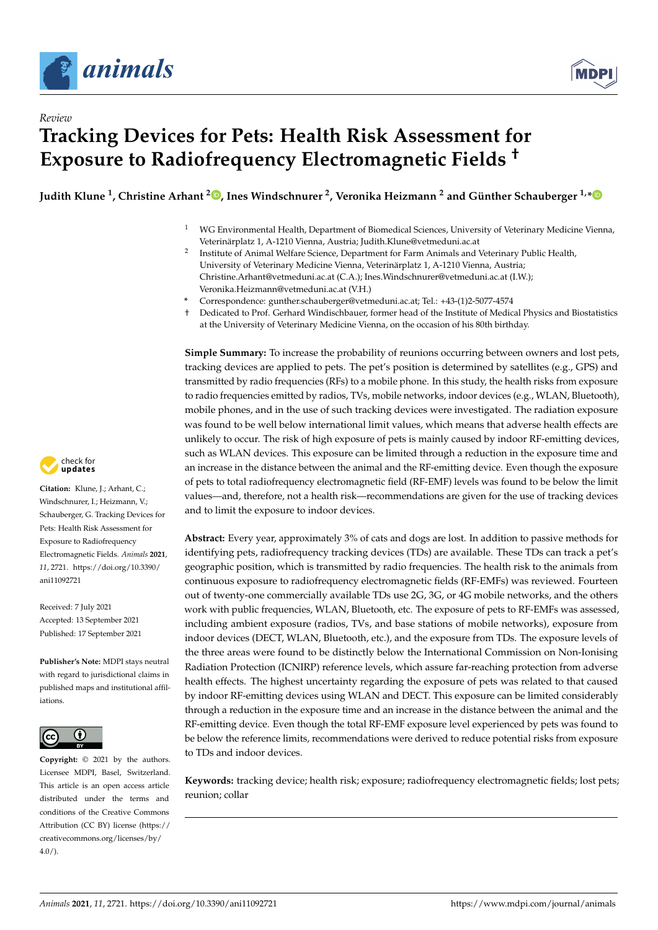

*Review*



# **Tracking Devices for Pets: Health Risk Assessment for Exposure to Radiofrequency Electromagnetic Fields †**

**Judith Klune <sup>1</sup> , Christine Arhant <sup>2</sup> [,](https://orcid.org/0000-0002-5491-1622) Ines Windschnurer <sup>2</sup> , Veronika Heizmann <sup>2</sup> and Günther Schauberger 1,[\\*](https://orcid.org/0000-0003-2418-3692)**

- <sup>1</sup> WG Environmental Health, Department of Biomedical Sciences, University of Veterinary Medicine Vienna, Veterinärplatz 1, A-1210 Vienna, Austria; Judith.Klune@vetmeduni.ac.at
- 2 Institute of Animal Welfare Science, Department for Farm Animals and Veterinary Public Health, University of Veterinary Medicine Vienna, Veterinärplatz 1, A-1210 Vienna, Austria; Christine.Arhant@vetmeduni.ac.at (C.A.); Ines.Windschnurer@vetmeduni.ac.at (I.W.); Veronika.Heizmann@vetmeduni.ac.at (V.H.)
- **\*** Correspondence: gunther.schauberger@vetmeduni.ac.at; Tel.: +43-(1)2-5077-4574
- † Dedicated to Prof. Gerhard Windischbauer, former head of the Institute of Medical Physics and Biostatistics at the University of Veterinary Medicine Vienna, on the occasion of his 80th birthday.

**Simple Summary:** To increase the probability of reunions occurring between owners and lost pets, tracking devices are applied to pets. The pet's position is determined by satellites (e.g., GPS) and transmitted by radio frequencies (RFs) to a mobile phone. In this study, the health risks from exposure to radio frequencies emitted by radios, TVs, mobile networks, indoor devices (e.g., WLAN, Bluetooth), mobile phones, and in the use of such tracking devices were investigated. The radiation exposure was found to be well below international limit values, which means that adverse health effects are unlikely to occur. The risk of high exposure of pets is mainly caused by indoor RF-emitting devices, such as WLAN devices. This exposure can be limited through a reduction in the exposure time and an increase in the distance between the animal and the RF-emitting device. Even though the exposure of pets to total radiofrequency electromagnetic field (RF-EMF) levels was found to be below the limit values—and, therefore, not a health risk—recommendations are given for the use of tracking devices and to limit the exposure to indoor devices.

**Abstract:** Every year, approximately 3% of cats and dogs are lost. In addition to passive methods for identifying pets, radiofrequency tracking devices (TDs) are available. These TDs can track a pet's geographic position, which is transmitted by radio frequencies. The health risk to the animals from continuous exposure to radiofrequency electromagnetic fields (RF-EMFs) was reviewed. Fourteen out of twenty-one commercially available TDs use 2G, 3G, or 4G mobile networks, and the others work with public frequencies, WLAN, Bluetooth, etc. The exposure of pets to RF-EMFs was assessed, including ambient exposure (radios, TVs, and base stations of mobile networks), exposure from indoor devices (DECT, WLAN, Bluetooth, etc.), and the exposure from TDs. The exposure levels of the three areas were found to be distinctly below the International Commission on Non-Ionising Radiation Protection (ICNIRP) reference levels, which assure far-reaching protection from adverse health effects. The highest uncertainty regarding the exposure of pets was related to that caused by indoor RF-emitting devices using WLAN and DECT. This exposure can be limited considerably through a reduction in the exposure time and an increase in the distance between the animal and the RF-emitting device. Even though the total RF-EMF exposure level experienced by pets was found to be below the reference limits, recommendations were derived to reduce potential risks from exposure to TDs and indoor devices.

**Keywords:** tracking device; health risk; exposure; radiofrequency electromagnetic fields; lost pets; reunion; collar



**Citation:** Klune, J.; Arhant, C.; Windschnurer, I.; Heizmann, V.; Schauberger, G. Tracking Devices for Pets: Health Risk Assessment for Exposure to Radiofrequency Electromagnetic Fields. *Animals* **2021**, *11*, 2721. [https://doi.org/10.3390/](https://doi.org/10.3390/ani11092721) [ani11092721](https://doi.org/10.3390/ani11092721)

Received: 7 July 2021 Accepted: 13 September 2021 Published: 17 September 2021

**Publisher's Note:** MDPI stays neutral with regard to jurisdictional claims in published maps and institutional affiliations.



**Copyright:** © 2021 by the authors. Licensee MDPI, Basel, Switzerland. This article is an open access article distributed under the terms and conditions of the Creative Commons Attribution (CC BY) license (https:/[/](https://creativecommons.org/licenses/by/4.0/) [creativecommons.org/licenses/by/](https://creativecommons.org/licenses/by/4.0/)  $4.0/$ ).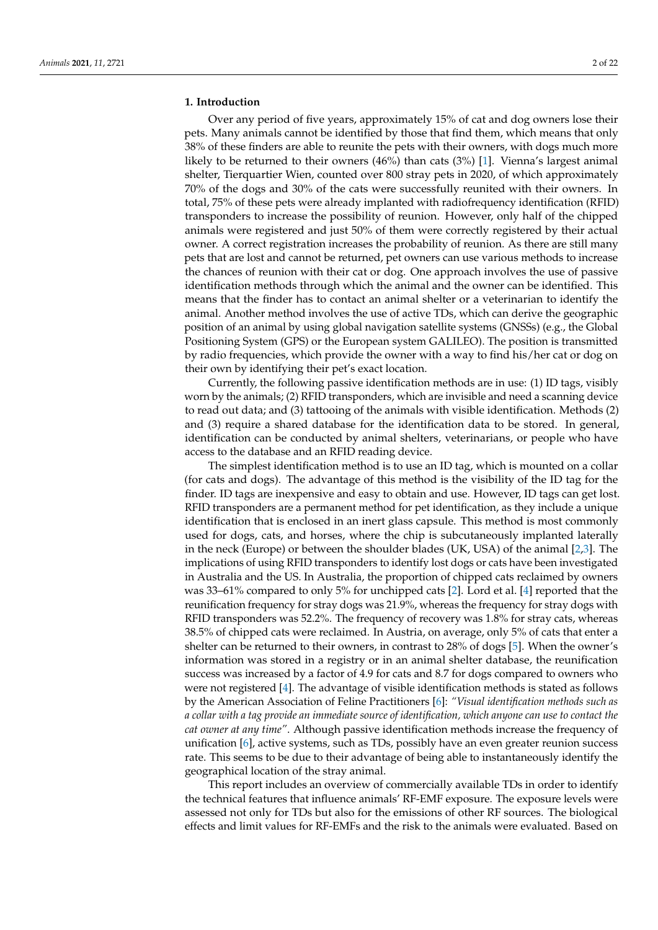## **1. Introduction**

Over any period of five years, approximately 15% of cat and dog owners lose their pets. Many animals cannot be identified by those that find them, which means that only 38% of these finders are able to reunite the pets with their owners, with dogs much more likely to be returned to their owners (46%) than cats (3%) [\[1\]](#page-19-0). Vienna's largest animal shelter, Tierquartier Wien, counted over 800 stray pets in 2020, of which approximately 70% of the dogs and 30% of the cats were successfully reunited with their owners. In total, 75% of these pets were already implanted with radiofrequency identification (RFID) transponders to increase the possibility of reunion. However, only half of the chipped animals were registered and just 50% of them were correctly registered by their actual owner. A correct registration increases the probability of reunion. As there are still many pets that are lost and cannot be returned, pet owners can use various methods to increase the chances of reunion with their cat or dog. One approach involves the use of passive identification methods through which the animal and the owner can be identified. This means that the finder has to contact an animal shelter or a veterinarian to identify the animal. Another method involves the use of active TDs, which can derive the geographic position of an animal by using global navigation satellite systems (GNSSs) (e.g., the Global Positioning System (GPS) or the European system GALILEO). The position is transmitted by radio frequencies, which provide the owner with a way to find his/her cat or dog on their own by identifying their pet's exact location.

Currently, the following passive identification methods are in use: (1) ID tags, visibly worn by the animals; (2) RFID transponders, which are invisible and need a scanning device to read out data; and (3) tattooing of the animals with visible identification. Methods (2) and (3) require a shared database for the identification data to be stored. In general, identification can be conducted by animal shelters, veterinarians, or people who have access to the database and an RFID reading device.

The simplest identification method is to use an ID tag, which is mounted on a collar (for cats and dogs). The advantage of this method is the visibility of the ID tag for the finder. ID tags are inexpensive and easy to obtain and use. However, ID tags can get lost. RFID transponders are a permanent method for pet identification, as they include a unique identification that is enclosed in an inert glass capsule. This method is most commonly used for dogs, cats, and horses, where the chip is subcutaneously implanted laterally in the neck (Europe) or between the shoulder blades (UK, USA) of the animal [\[2](#page-19-1)[,3\]](#page-19-2). The implications of using RFID transponders to identify lost dogs or cats have been investigated in Australia and the US. In Australia, the proportion of chipped cats reclaimed by owners was 33–61% compared to only 5% for unchipped cats [\[2\]](#page-19-1). Lord et al. [\[4\]](#page-19-3) reported that the reunification frequency for stray dogs was 21.9%, whereas the frequency for stray dogs with RFID transponders was 52.2%. The frequency of recovery was 1.8% for stray cats, whereas 38.5% of chipped cats were reclaimed. In Austria, on average, only 5% of cats that enter a shelter can be returned to their owners, in contrast to 28% of dogs [\[5\]](#page-19-4). When the owner's information was stored in a registry or in an animal shelter database, the reunification success was increased by a factor of 4.9 for cats and 8.7 for dogs compared to owners who were not registered [\[4\]](#page-19-3). The advantage of visible identification methods is stated as follows by the American Association of Feline Practitioners [\[6\]](#page-19-5): *"Visual identification methods such as a collar with a tag provide an immediate source of identification, which anyone can use to contact the cat owner at any time"*. Although passive identification methods increase the frequency of unification [\[6\]](#page-19-5), active systems, such as TDs, possibly have an even greater reunion success rate. This seems to be due to their advantage of being able to instantaneously identify the geographical location of the stray animal.

This report includes an overview of commercially available TDs in order to identify the technical features that influence animals' RF-EMF exposure. The exposure levels were assessed not only for TDs but also for the emissions of other RF sources. The biological effects and limit values for RF-EMFs and the risk to the animals were evaluated. Based on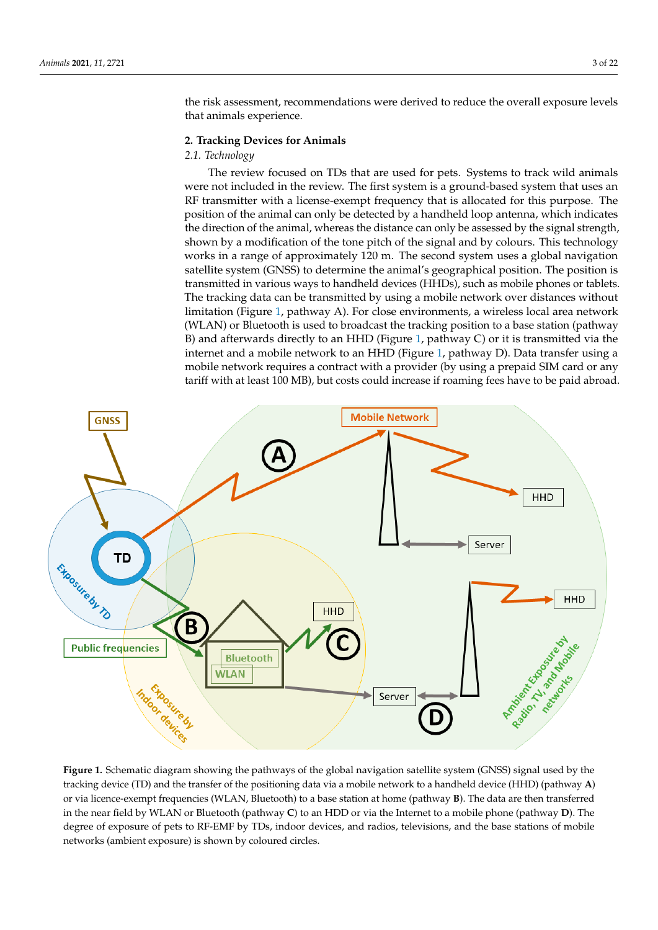the risk assessment, recommendations were derived to reduce the overall exposure levels that animals experience.

#### **2. Tracking Devices for Animals** *2.1. Technology*

#### *2.1. Technology*  $\frac{1}{\sqrt{2}}$

The review focused on TDs that are used for pets. Systems to track wild animals were not included in the review. The first system is a ground-based system that uses an RF transmitter with a license-exempt frequency that is allocated for this purpose. The position of the animal can only be detected by a handheld loop antenna, which indicates the direction of the animal, whereas the distance can only be assessed by the signal strength, shown by a modification of the tone pitch of the signal and by colours. This technology works in a range of approximately 120 m. The second system uses a global navigation satellite system (GNSS) to determine the animal's geographical position. The position is in various ways to handheld devices (HHDs), such as mobile phones or tablets. The tracktransmitted in various ways to handheld devices (HHDs), such as mobile phones or tablets. transmitted in various ways to nanuncia devices (FITDs), such as mobile phones of tablets.<br>The tracking data can be transmitted by using a mobile network over distances without Figure internal contract the entire environments of the contract of the encounter. The contract of the contract of the contract of the contract of the contract of the contract of the contract of the contract of the contrac (WLAN) or Bluetooth is used to broadcast the tracking position to a base station (pathway Bluetooth is used to broadcast the tracking position to a base station (pathway B) and B) and afterwards directly to an HHD (Figure 1, [pa](#page-2-0)thway C) or it is transmitted via the internet and a mobile network to an HHD (Figure 1, [pa](#page-2-0)thway D). Data transfer using a mobile network requires a contract with a provider (by using a prepaid SIM card or any tariff with at least 100 MB), but costs could increase if roaming fees have to be paid abroad. with at least 100 MB), but costs could increase if roaming fees have to be paid abroad.

<span id="page-2-0"></span>

Figure 1. Schematic diagram showing the pathways of the global navigation satellite system (GNSS) signal used by the tracking device (TD) and the transfer of the positioning data via a mobile network to a handheld device (HHD) (pathway  $\bf{A}$ ) or via licence-exempt frequencies (WLAN, Bluetooth) to a base station at home (pathway  $\bf{B}$ ). The data are then transferred in the near field by WLAN or Bluetooth (pathway C) to an HDD or via the Internet to a mobile phone (pathway D). The degree of exposure of pets to RF-EMF by TDs, indoor devices, and radios, televisions, and the base stations of mobile networks (ambient exposure) is shown by coloured circles. networks (ambient exposure) is shown by coloured circles.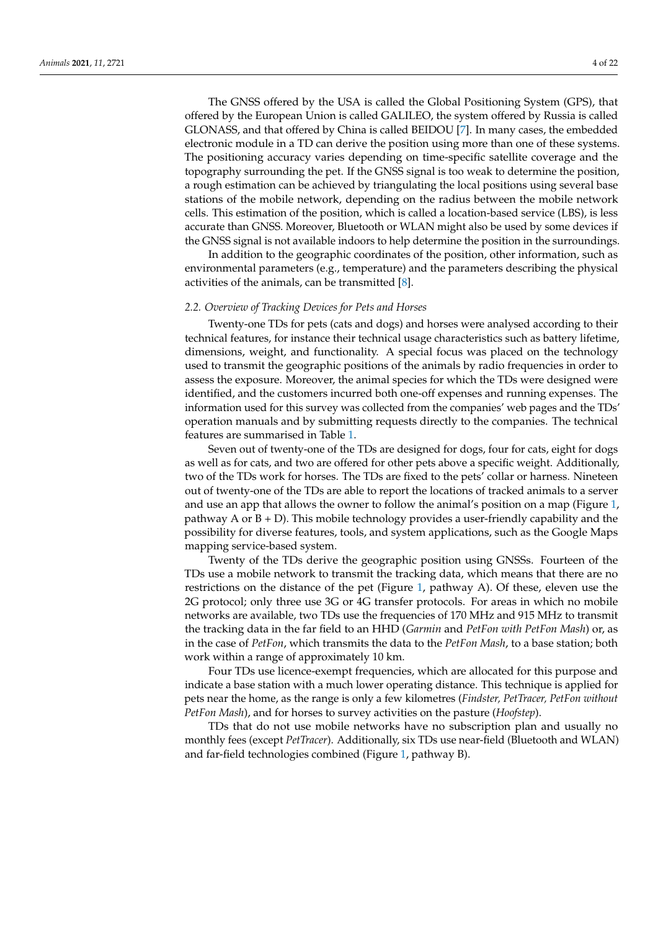The GNSS offered by the USA is called the Global Positioning System (GPS), that offered by the European Union is called GALILEO, the system offered by Russia is called GLONASS, and that offered by China is called BEIDOU [\[7\]](#page-19-6). In many cases, the embedded electronic module in a TD can derive the position using more than one of these systems. The positioning accuracy varies depending on time-specific satellite coverage and the topography surrounding the pet. If the GNSS signal is too weak to determine the position, a rough estimation can be achieved by triangulating the local positions using several base stations of the mobile network, depending on the radius between the mobile network cells. This estimation of the position, which is called a location-based service (LBS), is less accurate than GNSS. Moreover, Bluetooth or WLAN might also be used by some devices if the GNSS signal is not available indoors to help determine the position in the surroundings.

In addition to the geographic coordinates of the position, other information, such as environmental parameters (e.g., temperature) and the parameters describing the physical activities of the animals, can be transmitted [\[8\]](#page-19-7).

## *2.2. Overview of Tracking Devices for Pets and Horses*

Twenty-one TDs for pets (cats and dogs) and horses were analysed according to their technical features, for instance their technical usage characteristics such as battery lifetime, dimensions, weight, and functionality. A special focus was placed on the technology used to transmit the geographic positions of the animals by radio frequencies in order to assess the exposure. Moreover, the animal species for which the TDs were designed were identified, and the customers incurred both one-off expenses and running expenses. The information used for this survey was collected from the companies' web pages and the TDs' operation manuals and by submitting requests directly to the companies. The technical features are summarised in Table [1.](#page-4-0)

Seven out of twenty-one of the TDs are designed for dogs, four for cats, eight for dogs as well as for cats, and two are offered for other pets above a specific weight. Additionally, two of the TDs work for horses. The TDs are fixed to the pets' collar or harness. Nineteen out of twenty-one of the TDs are able to report the locations of tracked animals to a server and use an app that allows the owner to follow the animal's position on a map (Figure [1,](#page-2-0) pathway A or  $B + D$ ). This mobile technology provides a user-friendly capability and the possibility for diverse features, tools, and system applications, such as the Google Maps mapping service-based system.

Twenty of the TDs derive the geographic position using GNSSs. Fourteen of the TDs use a mobile network to transmit the tracking data, which means that there are no restrictions on the distance of the pet (Figure [1,](#page-2-0) pathway A). Of these, eleven use the 2G protocol; only three use 3G or 4G transfer protocols. For areas in which no mobile networks are available, two TDs use the frequencies of 170 MHz and 915 MHz to transmit the tracking data in the far field to an HHD (*Garmin* and *PetFon with PetFon Mash*) or, as in the case of *PetFon*, which transmits the data to the *PetFon Mash*, to a base station; both work within a range of approximately 10 km.

Four TDs use licence-exempt frequencies, which are allocated for this purpose and indicate a base station with a much lower operating distance. This technique is applied for pets near the home, as the range is only a few kilometres (*Findster, PetTracer, PetFon without PetFon Mash*), and for horses to survey activities on the pasture (*Hoofstep*).

TDs that do not use mobile networks have no subscription plan and usually no monthly fees (except *PetTracer*). Additionally, six TDs use near-field (Bluetooth and WLAN) and far-field technologies combined (Figure [1,](#page-2-0) pathway B).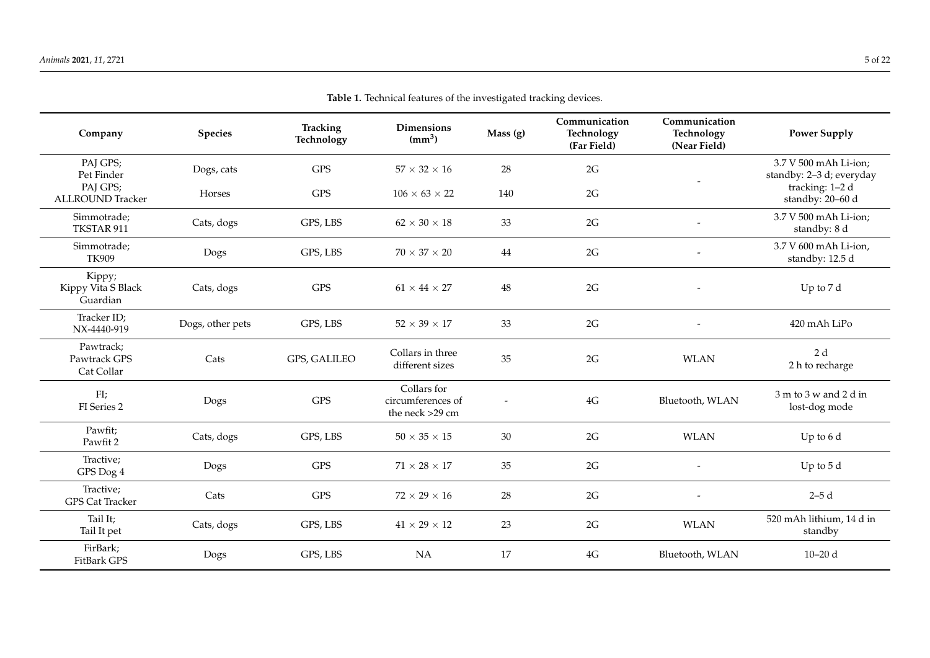<span id="page-4-0"></span>

|                                                      |                      |                               | Table 1. Technical leatures of the investigated tracking devices. |           |                                            |                                             |                                                                      |
|------------------------------------------------------|----------------------|-------------------------------|-------------------------------------------------------------------|-----------|--------------------------------------------|---------------------------------------------|----------------------------------------------------------------------|
| Company                                              | <b>Species</b>       | <b>Tracking</b><br>Technology | <b>Dimensions</b><br>(mm <sup>3</sup> )                           | Mass (g)  | Communication<br>Technology<br>(Far Field) | Communication<br>Technology<br>(Near Field) | <b>Power Supply</b>                                                  |
| PAJ GPS;<br>Pet Finder<br>PAJ GPS;                   | Dogs, cats<br>Horses | <b>GPS</b><br><b>GPS</b>      | $57 \times 32 \times 16$<br>$106 \times 63 \times 22$             | 28<br>140 | 2G<br>$2G$                                 |                                             | 3.7 V 500 mAh Li-ion;<br>standby: 2-3 d; everyday<br>tracking: 1-2 d |
| <b>ALLROUND Tracker</b><br>Simmotrade;<br>TKSTAR 911 | Cats, dogs           | GPS, LBS                      | $62 \times 30 \times 18$                                          | 33        | $2{\rm G}$                                 |                                             | standby: 20-60 d<br>3.7 V 500 mAh Li-ion;<br>standby: 8 d            |
| Simmotrade;<br>TK909                                 | Dogs                 | GPS, LBS                      | $70 \times 37 \times 20$                                          | 44        | 2G                                         |                                             | 3.7 V 600 mAh Li-ion,<br>standby: 12.5 d                             |
| Kippy;<br>Kippy Vita S Black<br>Guardian             | Cats, dogs           | <b>GPS</b>                    | $61 \times 44 \times 27$                                          | 48        | 2G                                         | $\overline{\phantom{a}}$                    | Up to 7 d                                                            |
| Tracker ID;<br>NX-4440-919                           | Dogs, other pets     | GPS, LBS                      | $52 \times 39 \times 17$                                          | 33        | 2G                                         |                                             | 420 mAh LiPo                                                         |
| Pawtrack;<br>Pawtrack GPS<br>Cat Collar              | Cats                 | GPS, GALILEO                  | Collars in three<br>different sizes                               | 35        | 2G                                         | <b>WLAN</b>                                 | 2 d<br>2 h to recharge                                               |
| FI;<br>FI Series 2                                   | Dogs                 | <b>GPS</b>                    | Collars for<br>circumferences of<br>the neck >29 cm               |           | $4\mathrm{G}$                              | Bluetooth, WLAN                             | 3 m to 3 w and 2 d in<br>lost-dog mode                               |
| Pawfit;<br>Pawfit 2                                  | Cats, dogs           | GPS, LBS                      | $50 \times 35 \times 15$                                          | 30        | 2G                                         | <b>WLAN</b>                                 | Up to 6 d                                                            |
| Tractive;<br>GPS Dog 4                               | Dogs                 | <b>GPS</b>                    | $71 \times 28 \times 17$                                          | 35        | 2G                                         | $\overline{\phantom{a}}$                    | Up to $5d$                                                           |
| Tractive;<br><b>GPS Cat Tracker</b>                  | Cats                 | <b>GPS</b>                    | $72 \times 29 \times 16$                                          | 28        | 2G                                         | $\overline{\phantom{a}}$                    | $2-5d$                                                               |
| Tail It;<br>Tail It pet                              | Cats, dogs           | GPS, LBS                      | $41\times29\times12$                                              | 23        | 2G                                         | <b>WLAN</b>                                 | 520 mAh lithium, 14 d in<br>standby                                  |
| FirBark;<br>FitBark GPS                              | Dogs                 | GPS, LBS                      | NA                                                                | 17        | $4G$                                       | Bluetooth, WLAN                             | $10 - 20$ d                                                          |

**Table 1.** Technical features of the investigated tracking devices.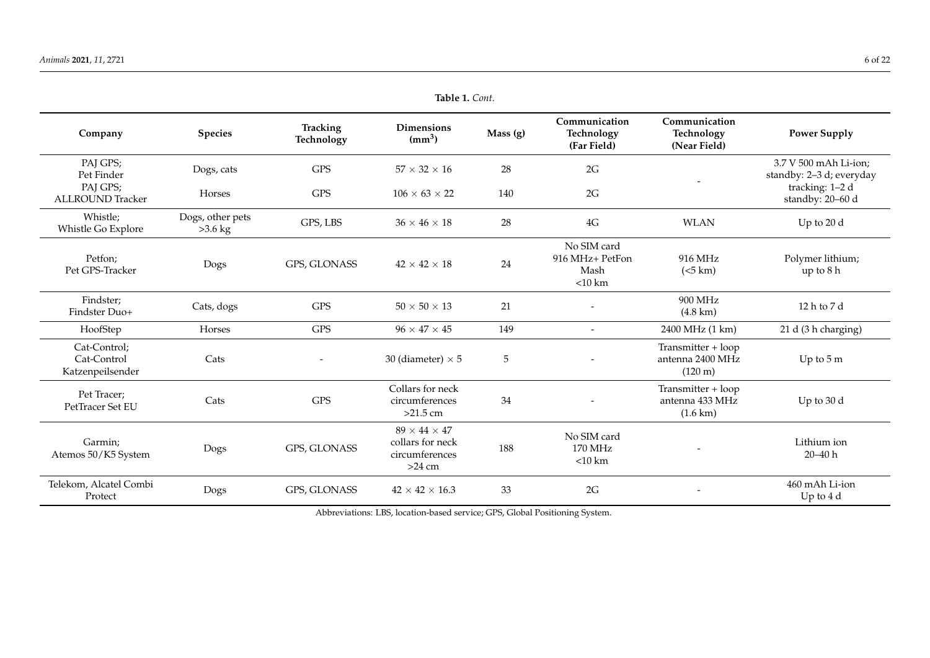| Company                                         | <b>Species</b>                | <b>Tracking</b><br>Technology | <b>Dimensions</b><br>$\text{(mm}^3)$                                       | Mass(g) | Communication<br>Technology<br>(Far Field)          | Communication<br>Technology<br>(Near Field)                 | <b>Power Supply</b>                               |
|-------------------------------------------------|-------------------------------|-------------------------------|----------------------------------------------------------------------------|---------|-----------------------------------------------------|-------------------------------------------------------------|---------------------------------------------------|
| PAJ GPS;<br>Pet Finder                          | Dogs, cats                    | <b>GPS</b>                    | $57 \times 32 \times 16$                                                   | 28      | 2G                                                  |                                                             | 3.7 V 500 mAh Li-ion;<br>standby: 2-3 d; everyday |
| PAJ GPS;<br><b>ALLROUND Tracker</b>             | Horses                        | <b>GPS</b>                    | $106 \times 63 \times 22$                                                  | 140     | 2G                                                  |                                                             | tracking: 1-2 d<br>standby: 20-60 d               |
| Whistle;<br>Whistle Go Explore                  | Dogs, other pets<br>$>3.6$ kg | GPS, LBS                      | $36 \times 46 \times 18$                                                   | 28      | $4\mathrm{G}$                                       | <b>WLAN</b>                                                 | Up to 20 d                                        |
| Petfon;<br>Pet GPS-Tracker                      | Dogs                          | GPS, GLONASS                  | $42 \times 42 \times 18$                                                   | 24      | No SIM card<br>916 MHz+ PetFon<br>Mash<br>$<$ 10 km | 916 MHz<br>(<5 km)                                          | Polymer lithium;<br>up to 8 h                     |
| Findster;<br>Findster Duo+                      | Cats, dogs                    | <b>GPS</b>                    | $50 \times 50 \times 13$                                                   | 21      | $\overline{\phantom{0}}$                            | 900 MHz<br>$(4.8 \text{ km})$                               | 12 h to 7 d                                       |
| HoofStep                                        | Horses                        | <b>GPS</b>                    | $96 \times 47 \times 45$                                                   | 149     | $\overline{a}$                                      | 2400 MHz (1 km)                                             | 21 d (3 h charging)                               |
| Cat-Control;<br>Cat-Control<br>Katzenpeilsender | Cats                          | $\overline{\phantom{a}}$      | 30 (diameter) $\times$ 5                                                   | 5       | $\overline{a}$                                      | Transmitter + loop<br>antenna 2400 MHz<br>$(120 \text{ m})$ | Up to $5m$                                        |
| Pet Tracer;<br>PetTracer Set EU                 | Cats                          | <b>GPS</b>                    | Collars for neck<br>circumferences<br>$>21.5$ cm                           | 34      |                                                     | Transmitter + loop<br>antenna 433 MHz<br>$(1.6 \text{ km})$ | Up to 30 d                                        |
| Garmin;<br>Atemos 50/K5 System                  | Dogs                          | GPS, GLONASS                  | $89 \times 44 \times 47$<br>collars for neck<br>circumferences<br>$>24$ cm | 188     | No SIM card<br>170 MHz<br>$<$ 10 km                 |                                                             | Lithium ion<br>$20 - 40 h$                        |
| Telekom, Alcatel Combi<br>Protect               | Dogs                          | GPS, GLONASS                  | $42 \times 42 \times 16.3$                                                 | 33      | 2G                                                  | $\overline{\phantom{a}}$                                    | 460 mAh Li-ion<br>Up to $4d$                      |

Abbreviations: LBS, location-based service; GPS, Global Positioning System.

**Table 1.** *Cont.*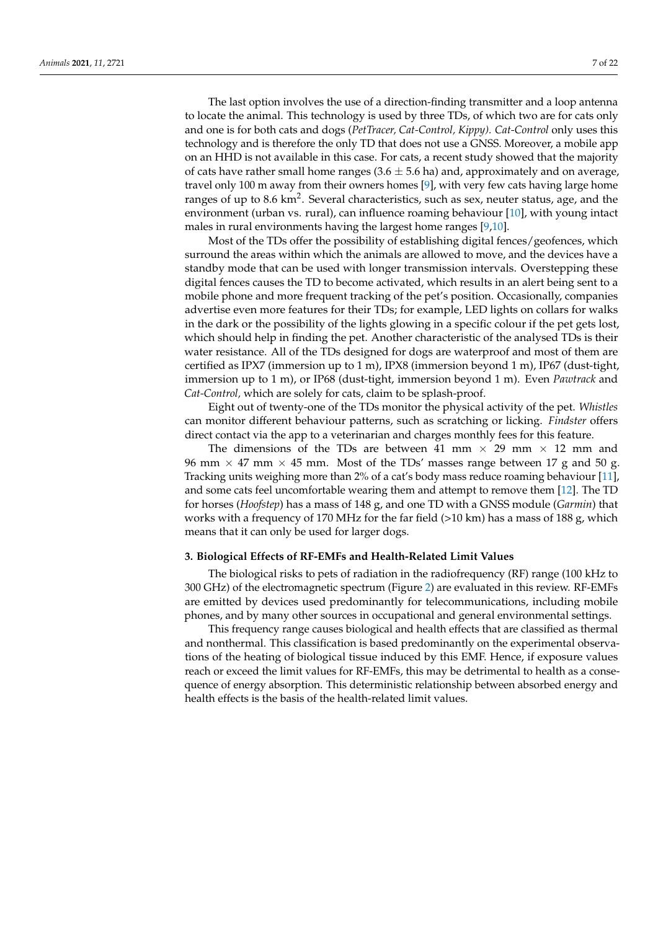The last option involves the use of a direction-finding transmitter and a loop antenna to locate the animal. This technology is used by three TDs, of which two are for cats only and one is for both cats and dogs (*PetTracer, Cat-Control, Kippy). Cat-Control* only uses this technology and is therefore the only TD that does not use a GNSS. Moreover, a mobile app on an HHD is not available in this case. For cats, a recent study showed that the majority of cats have rather small home ranges  $(3.6 \pm 5.6 \text{ ha})$  and, approximately and on average, travel only 100 m away from their owners homes [\[9\]](#page-19-8), with very few cats having large home ranges of up to 8.6 km<sup>2</sup>. Several characteristics, such as sex, neuter status, age, and the environment (urban vs. rural), can influence roaming behaviour [\[10\]](#page-19-9), with young intact males in rural environments having the largest home ranges [\[9](#page-19-8)[,10\]](#page-19-9).

Most of the TDs offer the possibility of establishing digital fences/geofences, which surround the areas within which the animals are allowed to move, and the devices have a standby mode that can be used with longer transmission intervals. Overstepping these digital fences causes the TD to become activated, which results in an alert being sent to a mobile phone and more frequent tracking of the pet's position. Occasionally, companies advertise even more features for their TDs; for example, LED lights on collars for walks in the dark or the possibility of the lights glowing in a specific colour if the pet gets lost, which should help in finding the pet. Another characteristic of the analysed TDs is their water resistance. All of the TDs designed for dogs are waterproof and most of them are certified as IPX7 (immersion up to 1 m), IPX8 (immersion beyond 1 m), IP67 (dust-tight, immersion up to 1 m), or IP68 (dust-tight, immersion beyond 1 m). Even *Pawtrack* and *Cat-Control,* which are solely for cats, claim to be splash-proof.

Eight out of twenty-one of the TDs monitor the physical activity of the pet. *Whistles* can monitor different behaviour patterns, such as scratching or licking. *Findster* offers direct contact via the app to a veterinarian and charges monthly fees for this feature.

The dimensions of the TDs are between 41 mm  $\times$  29 mm  $\times$  12 mm and 96 mm  $\times$  47 mm  $\times$  45 mm. Most of the TDs' masses range between 17 g and 50 g. Tracking units weighing more than 2% of a cat's body mass reduce roaming behaviour [\[11\]](#page-19-10), and some cats feel uncomfortable wearing them and attempt to remove them [\[12\]](#page-19-11). The TD for horses (*Hoofstep*) has a mass of 148 g, and one TD with a GNSS module (*Garmin*) that works with a frequency of 170 MHz for the far field  $(>10 \text{ km})$  has a mass of 188 g, which means that it can only be used for larger dogs.

#### **3. Biological Effects of RF-EMFs and Health-Related Limit Values**

The biological risks to pets of radiation in the radiofrequency (RF) range (100 kHz to 300 GHz) of the electromagnetic spectrum (Figure [2\)](#page-7-0) are evaluated in this review. RF-EMFs are emitted by devices used predominantly for telecommunications, including mobile phones, and by many other sources in occupational and general environmental settings.

This frequency range causes biological and health effects that are classified as thermal and nonthermal. This classification is based predominantly on the experimental observations of the heating of biological tissue induced by this EMF. Hence, if exposure values reach or exceed the limit values for RF-EMFs, this may be detrimental to health as a consequence of energy absorption. This deterministic relationship between absorbed energy and health effects is the basis of the health-related limit values.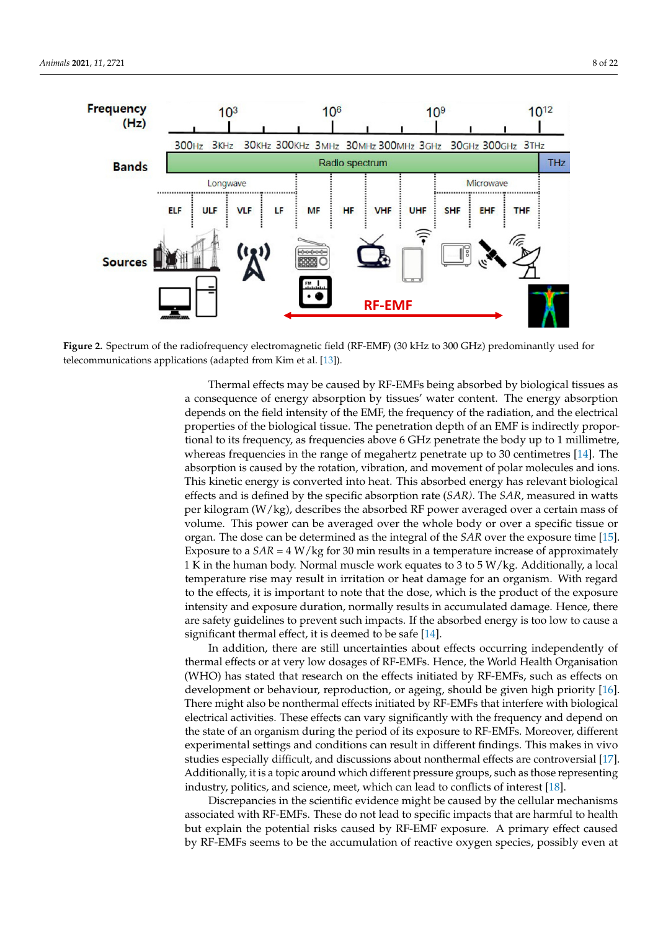<span id="page-7-0"></span>

Figure 2. Spectrum of the radiofrequency electromagnetic field (RF-EMF) (30 kHz to 300 GHz) predominantly used for telecommunications applications (adapted from Kim et al. [13]). telecommunications applications (adapted from Kim et al. [\[13\]](#page-19-12)).

Thermal effects may be caused by RF-EMFs being absorbed by biological tissues as a consequence of energy absorption by tissues' water content. The energy absorption depends on the field intensity of the EMF, the frequency of the radiation, and the electrical properties of the biological tissue. The penetration depth of an EMF is indirectly proportional to its frequency, as frequencies above 6 GHz penetrate the body up to 1 millimetre, whereas frequencies in the range of megahertz penetrate up to 30 centimetres [\[14\]](#page-19-13). The absorption is caused by the rotation, vibration, and movement of polar molecules and ions. This kinetic energy is converted into heat. This absorbed energy has relevant biological effects and is defined by the specific absorption rate (*SAR)*. The *SAR,* measured in watts per kilogram (W/kg), describes the absorbed RF power averaged over a certain mass of volume. This power can be averaged over the whole body or over a specific tissue or organ. The dose can be determined as the integral of the *SAR* over the exposure time [\[15\]](#page-19-14). Exposure to a  $SAR = 4 W/kg$  for 30 min results in a temperature increase of approximately 1 K in the human body. Normal muscle work equates to 3 to 5 W/kg. Additionally, a local temperature rise may result in irritation or heat damage for an organism. With regard to the effects, it is important to note that the dose, which is the product of the exposure intensity and exposure duration, normally results in accumulated damage. Hence, there are safety guidelines to prevent such impacts. If the absorbed energy is too low to cause a significant thermal effect, it is deemed to be safe [\[14\]](#page-19-13).

In addition, there are still uncertainties about effects occurring independently of thermal effects or at very low dosages of RF-EMFs. Hence, the World Health Organisation (WHO) has stated that research on the effects initiated by RF-EMFs, such as effects on development or behaviour, reproduction, or ageing, should be given high priority [\[16\]](#page-19-15). There might also be nonthermal effects initiated by RF-EMFs that interfere with biological electrical activities. These effects can vary significantly with the frequency and depend on the state of an organism during the period of its exposure to RF-EMFs. Moreover, different experimental settings and conditions can result in different findings. This makes in vivo studies especially difficult, and discussions about nonthermal effects are controversial [\[17\]](#page-19-16). Additionally, it is a topic around which different pressure groups, such as those representing industry, politics, and science, meet, which can lead to conflicts of interest [\[18\]](#page-19-17).

Discrepancies in the scientific evidence might be caused by the cellular mechanisms associated with RF-EMFs. These do not lead to specific impacts that are harmful to health but explain the potential risks caused by RF-EMF exposure. A primary effect caused by RF-EMFs seems to be the accumulation of reactive oxygen species, possibly even at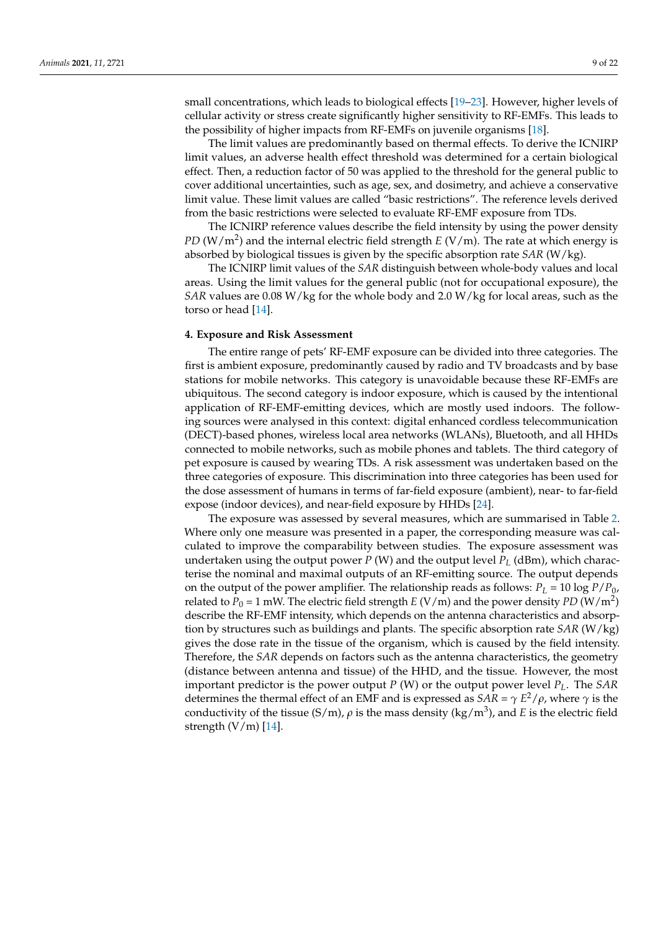small concentrations, which leads to biological effects [\[19](#page-19-18)[–23\]](#page-19-19). However, higher levels of cellular activity or stress create significantly higher sensitivity to RF-EMFs. This leads to the possibility of higher impacts from RF-EMFs on juvenile organisms [\[18\]](#page-19-17).

The limit values are predominantly based on thermal effects. To derive the ICNIRP limit values, an adverse health effect threshold was determined for a certain biological effect. Then, a reduction factor of 50 was applied to the threshold for the general public to cover additional uncertainties, such as age, sex, and dosimetry, and achieve a conservative limit value. These limit values are called "basic restrictions". The reference levels derived from the basic restrictions were selected to evaluate RF-EMF exposure from TDs.

The ICNIRP reference values describe the field intensity by using the power density PD (W/m<sup>2</sup>) and the internal electric field strength *E* (V/m). The rate at which energy is absorbed by biological tissues is given by the specific absorption rate *SAR* (W/kg).

The ICNIRP limit values of the *SAR* distinguish between whole-body values and local areas. Using the limit values for the general public (not for occupational exposure), the *SAR* values are 0.08 W/kg for the whole body and 2.0 W/kg for local areas, such as the torso or head [\[14\]](#page-19-13).

## **4. Exposure and Risk Assessment**

The entire range of pets' RF-EMF exposure can be divided into three categories. The first is ambient exposure, predominantly caused by radio and TV broadcasts and by base stations for mobile networks. This category is unavoidable because these RF-EMFs are ubiquitous. The second category is indoor exposure, which is caused by the intentional application of RF-EMF-emitting devices, which are mostly used indoors. The following sources were analysed in this context: digital enhanced cordless telecommunication (DECT)-based phones, wireless local area networks (WLANs), Bluetooth, and all HHDs connected to mobile networks, such as mobile phones and tablets. The third category of pet exposure is caused by wearing TDs. A risk assessment was undertaken based on the three categories of exposure. This discrimination into three categories has been used for the dose assessment of humans in terms of far-field exposure (ambient), near- to far-field expose (indoor devices), and near-field exposure by HHDs [\[24\]](#page-20-0).

The exposure was assessed by several measures, which are summarised in Table [2.](#page-9-0) Where only one measure was presented in a paper, the corresponding measure was calculated to improve the comparability between studies. The exposure assessment was undertaken using the output power *P* (W) and the output level  $P_L$  (dBm), which characterise the nominal and maximal outputs of an RF-emitting source. The output depends on the output of the power amplifier. The relationship reads as follows:  $P_L = 10 \log P/P_0$ , related to  $P_0$  = 1 mW. The electric field strength  $E$  (V/m) and the power density *PD* (W/m<sup>2</sup>) describe the RF-EMF intensity, which depends on the antenna characteristics and absorption by structures such as buildings and plants. The specific absorption rate *SAR* (W/kg) gives the dose rate in the tissue of the organism, which is caused by the field intensity. Therefore, the *SAR* depends on factors such as the antenna characteristics, the geometry (distance between antenna and tissue) of the HHD, and the tissue. However, the most important predictor is the power output *P* (W) or the output power level *PL*. The *SAR* determines the thermal effect of an EMF and is expressed as  $SAR = \gamma E^2/\rho$ , where  $\gamma$  is the conductivity of the tissue (S/m),  $\rho$  is the mass density (kg/m<sup>3</sup>), and *E* is the electric field strength  $(V/m)$  [\[14\]](#page-19-13).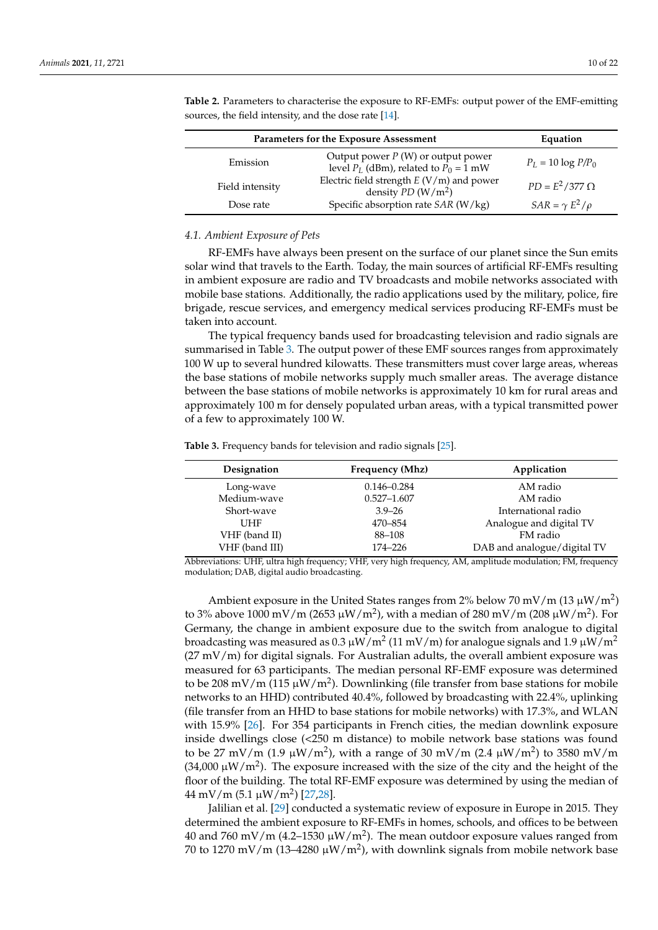| Parameters for the Exposure Assessment | Equation                                                                                  |                         |
|----------------------------------------|-------------------------------------------------------------------------------------------|-------------------------|
| Emission                               | Output power $P(W)$ or output power<br>level $P_L$ (dBm), related to $P_0 = 1$ mW         | $P_L = 10 \log P/P_0$   |
| Field intensity                        | Electric field strength <i>E</i> (V/m) and power<br>density <i>PD</i> (W/m <sup>2</sup> ) | $PD = E^2/377 \Omega$   |
| Dose rate                              | Specific absorption rate SAR (W/kg)                                                       | $SAR = \gamma E^2/\rho$ |

<span id="page-9-0"></span>**Table 2.** Parameters to characterise the exposure to RF-EMFs: output power of the EMF-emitting sources, the field intensity, and the dose rate [\[14\]](#page-19-13).

## *4.1. Ambient Exposure of Pets*

RF-EMFs have always been present on the surface of our planet since the Sun emits solar wind that travels to the Earth. Today, the main sources of artificial RF-EMFs resulting in ambient exposure are radio and TV broadcasts and mobile networks associated with mobile base stations. Additionally, the radio applications used by the military, police, fire brigade, rescue services, and emergency medical services producing RF-EMFs must be taken into account.

The typical frequency bands used for broadcasting television and radio signals are summarised in Table [3.](#page-9-1) The output power of these EMF sources ranges from approximately 100 W up to several hundred kilowatts. These transmitters must cover large areas, whereas the base stations of mobile networks supply much smaller areas. The average distance between the base stations of mobile networks is approximately 10 km for rural areas and approximately 100 m for densely populated urban areas, with a typical transmitted power of a few to approximately 100 W.

<span id="page-9-1"></span>**Table 3.** Frequency bands for television and radio signals [\[25\]](#page-20-1).

| Designation    | Frequency (Mhz) | Application                 |
|----------------|-----------------|-----------------------------|
| Long-wave      | $0.146 - 0.284$ | AM radio                    |
| Medium-wave    | $0.527 - 1.607$ | AM radio                    |
| Short-wave     | $3.9 - 26$      | International radio         |
| <b>UHF</b>     | 470-854         | Analogue and digital TV     |
| VHF (band II)  | 88-108          | FM radio                    |
| VHF (band III) | 174–226         | DAB and analogue/digital TV |

Abbreviations: UHF, ultra high frequency; VHF, very high frequency, AM, amplitude modulation; FM, frequency modulation; DAB, digital audio broadcasting.

Ambient exposure in the United States ranges from 2% below 70 mV/m (13  $\mu$ W/m<sup>2</sup>) to 3% above 1000 mV/m (2653  $\mu$ W/m<sup>2</sup>), with a median of 280 mV/m (208  $\mu$ W/m<sup>2</sup>). For Germany, the change in ambient exposure due to the switch from analogue to digital broadcasting was measured as  $0.3\,\rm\mu W/m^2$  (11 mV/m) for analogue signals and 1.9  $\rm \mu W/m^2$  $(27 \text{ mV/m})$  for digital signals. For Australian adults, the overall ambient exposure was measured for 63 participants. The median personal RF-EMF exposure was determined to be 208 mV/m (115  $\mu$ W/m<sup>2</sup>). Downlinking (file transfer from base stations for mobile networks to an HHD) contributed 40.4%, followed by broadcasting with 22.4%, uplinking (file transfer from an HHD to base stations for mobile networks) with 17.3%, and WLAN with 15.9% [\[26\]](#page-20-2). For 354 participants in French cities, the median downlink exposure inside dwellings close (<250 m distance) to mobile network base stations was found to be 27 mV/m (1.9  $\mu$ W/m<sup>2</sup>), with a range of 30 mV/m (2.4  $\mu$ W/m<sup>2</sup>) to 3580 mV/m (34,000  $\mu$ W/m<sup>2</sup>). The exposure increased with the size of the city and the height of the floor of the building. The total RF-EMF exposure was determined by using the median of 44 mV/m (5.1 µW/m<sup>2</sup> ) [\[27,](#page-20-3)[28\]](#page-20-4).

Jalilian et al. [\[29\]](#page-20-5) conducted a systematic review of exposure in Europe in 2015. They determined the ambient exposure to RF-EMFs in homes, schools, and offices to be between 40 and 760 mV/m (4.2–1530  $\mu$ W/m<sup>2</sup>). The mean outdoor exposure values ranged from 70 to 1270 mV/m (13–4280  $\mu$ W/m<sup>2</sup>), with downlink signals from mobile network base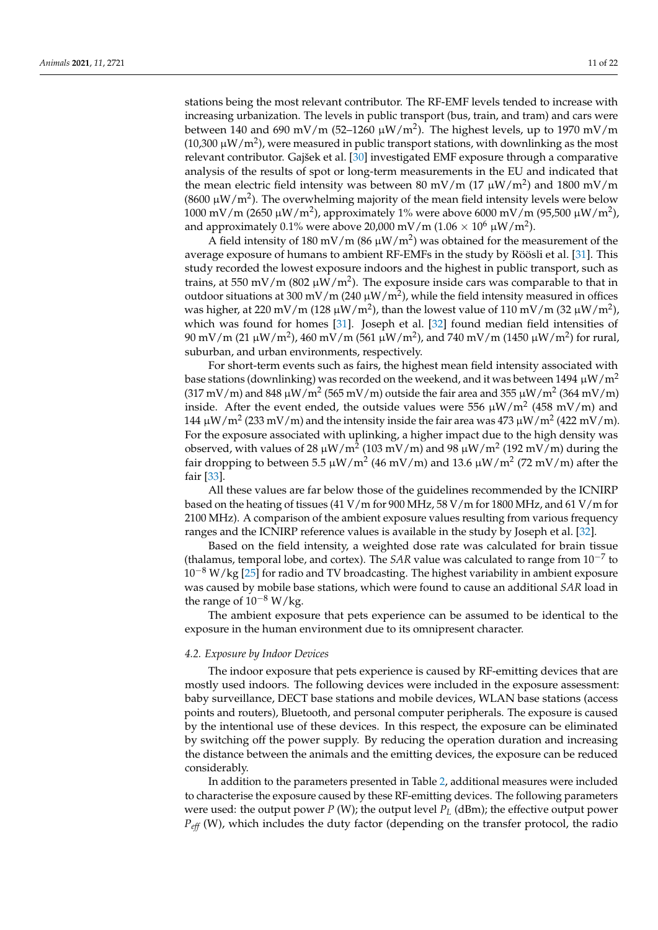stations being the most relevant contributor. The RF-EMF levels tended to increase with increasing urbanization. The levels in public transport (bus, train, and tram) and cars were between 140 and 690 mV/m (52–1260  $\mu$ W/m<sup>2</sup>). The highest levels, up to 1970 mV/m (10,300  $\mu$ W/m<sup>2</sup>), were measured in public transport stations, with downlinking as the most relevant contributor. Gajšek et al. [\[30\]](#page-20-6) investigated EMF exposure through a comparative analysis of the results of spot or long-term measurements in the EU and indicated that the mean electric field intensity was between 80 mV/m (17  $\mu$ W/m<sup>2</sup>) and 1800 mV/m (8600  $\mu$ W/m<sup>2</sup>). The overwhelming majority of the mean field intensity levels were below  $1000$  mV/m (2650 μW/m<sup>2</sup>), approximately 1% were above 6000 mV/m (95,500 μW/m<sup>2</sup>), and approximately  $0.1\%$  were above 20,000 mV/m ( $1.06\times10^6$   $\mu\text{W}/\text{m}^2$ ).

A field intensity of 180 mV/m (86  $\mu$ W/m<sup>2</sup>) was obtained for the measurement of the average exposure of humans to ambient RF-EMFs in the study by Röösli et al. [\[31\]](#page-20-7). This study recorded the lowest exposure indoors and the highest in public transport, such as trains, at 550 mV/m (802  $\mu$ W/m<sup>2</sup>). The exposure inside cars was comparable to that in outdoor situations at 300 mV/m (240  $\mu$ W/m<sup>2</sup>), while the field intensity measured in offices was higher, at 220 mV/m (128  $\mu$ W/m<sup>2</sup>), than the lowest value of 110 mV/m (32  $\mu$ W/m<sup>2</sup>), which was found for homes [\[31\]](#page-20-7). Joseph et al. [\[32\]](#page-20-8) found median field intensities of 90 mV/m (21 μW/m<sup>2</sup>), 460 mV/m (561 μW/m<sup>2</sup>), and 740 mV/m (1450 μW/m<sup>2</sup>) for rural, suburban, and urban environments, respectively.

For short-term events such as fairs, the highest mean field intensity associated with base stations (downlinking) was recorded on the weekend, and it was between 1494  $\mu$ W/m<sup>2</sup> (317 mV/m) and 848  $\mu$ W/m<sup>2</sup> (565 mV/m) outside the fair area and 355  $\mu$ W/m<sup>2</sup> (364 mV/m) inside. After the event ended, the outside values were 556  $\mu$ W/m<sup>2</sup> (458 mV/m) and 144  $\mu$ W/m<sup>2</sup> (233 mV/m) and the intensity inside the fair area was 473  $\mu$ W/m<sup>2</sup> (422 mV/m). For the exposure associated with uplinking, a higher impact due to the high density was observed, with values of 28  $\mu$ W/m<sup>2</sup> (103 mV/m) and 98  $\mu$ W/m<sup>2</sup> (192 mV/m) during the fair dropping to between 5.5  $\mu$ W/m $^2$  (46 mV/m) and 13.6  $\mu$ W/m $^2$  (72 mV/m) after the fair [\[33\]](#page-20-9).

All these values are far below those of the guidelines recommended by the ICNIRP based on the heating of tissues (41 V/m for 900 MHz, 58 V/m for 1800 MHz, and 61 V/m for 2100 MHz). A comparison of the ambient exposure values resulting from various frequency ranges and the ICNIRP reference values is available in the study by Joseph et al. [\[32\]](#page-20-8).

Based on the field intensity, a weighted dose rate was calculated for brain tissue (thalamus, temporal lobe, and cortex). The *SAR* value was calculated to range from 10−<sup>7</sup> to  $10^{-8}$  W/kg [\[25\]](#page-20-1) for radio and TV broadcasting. The highest variability in ambient exposure was caused by mobile base stations, which were found to cause an additional *SAR* load in the range of  $10^{-8}$  W/kg.

The ambient exposure that pets experience can be assumed to be identical to the exposure in the human environment due to its omnipresent character.

#### *4.2. Exposure by Indoor Devices*

The indoor exposure that pets experience is caused by RF-emitting devices that are mostly used indoors. The following devices were included in the exposure assessment: baby surveillance, DECT base stations and mobile devices, WLAN base stations (access points and routers), Bluetooth, and personal computer peripherals. The exposure is caused by the intentional use of these devices. In this respect, the exposure can be eliminated by switching off the power supply. By reducing the operation duration and increasing the distance between the animals and the emitting devices, the exposure can be reduced considerably.

In addition to the parameters presented in Table [2,](#page-9-0) additional measures were included to characterise the exposure caused by these RF-emitting devices. The following parameters were used: the output power  $P$  (W); the output level  $P_L$  (dBm); the effective output power *Peff* (W), which includes the duty factor (depending on the transfer protocol, the radio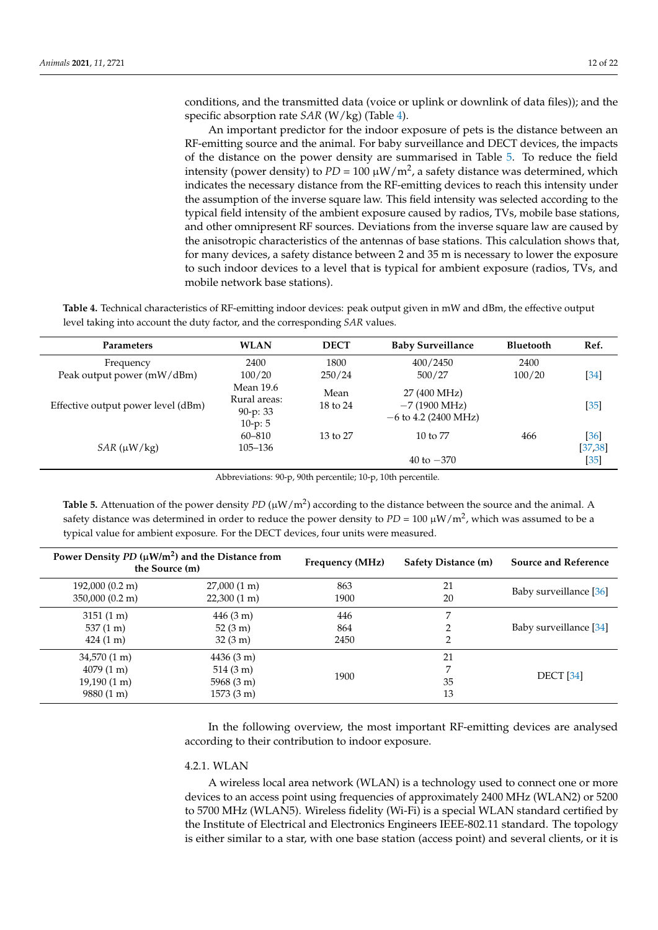conditions, and the transmitted data (voice or uplink or downlink of data files)); and the specific absorption rate *SAR* (W/kg) (Table [4\)](#page-11-0).

An important predictor for the indoor exposure of pets is the distance between an RF-emitting source and the animal. For baby surveillance and DECT devices, the impacts of the distance on the power density are summarised in Table [5.](#page-11-1) To reduce the field intensity (power density) to  $PD = 100 \ \mu W/m^2$ , a safety distance was determined, which indicates the necessary distance from the RF-emitting devices to reach this intensity under the assumption of the inverse square law. This field intensity was selected according to the typical field intensity of the ambient exposure caused by radios, TVs, mobile base stations, and other omnipresent RF sources. Deviations from the inverse square law are caused by the anisotropic characteristics of the antennas of base stations. This calculation shows that, for many devices, a safety distance between 2 and 35 m is necessary to lower the exposure to such indoor devices to a level that is typical for ambient exposure (radios, TVs, and mobile network base stations).

<span id="page-11-0"></span>**Table 4.** Technical characteristics of RF-emitting indoor devices: peak output given in mW and dBm, the effective output level taking into account the duty factor, and the corresponding *SAR* values.

| <b>Parameters</b>                  | <b>WLAN</b>                                        | <b>DECT</b>      | <b>Baby Surveillance</b>                                         | <b>Bluetooth</b> | Ref.                       |
|------------------------------------|----------------------------------------------------|------------------|------------------------------------------------------------------|------------------|----------------------------|
| Frequency                          | 2400                                               | 1800             | 400/2450                                                         | 2400             |                            |
| Peak output power (mW/dBm)         | 100/20                                             | 250/24           | 500/27                                                           | 100/20           | [34]                       |
| Effective output power level (dBm) | Mean 19.6<br>Rural areas:<br>90-p: 33<br>$10-p: 5$ | Mean<br>18 to 24 | 27 (400 MHz)<br>$-7(1900 \text{ MHz})$<br>$-6$ to 4.2 (2400 MHz) |                  | $[35]$                     |
| $SAR(\mu W/kg)$                    | 60-810<br>105-136                                  | 13 to 27         | $10 \text{ to } 77$<br>40 to $-370$                              | 466              | [36]<br>[37, 38]<br>$[35]$ |

Abbreviations: 90-p, 90th percentile; 10-p, 10th percentile.

<span id="page-11-1"></span>**Table 5.** Attenuation of the power density  $PD(\mu W/m^2)$  according to the distance between the source and the animal. A safety distance was determined in order to reduce the power density to *PD* = 100 µW/m<sup>2</sup> , which was assumed to be a typical value for ambient exposure. For the DECT devices, four units were measured.

| Power Density $PD(\mu W/m^2)$ and the Distance from<br>the Source (m) |                       | Frequency (MHz) | <b>Safety Distance (m)</b> | <b>Source and Reference</b> |
|-----------------------------------------------------------------------|-----------------------|-----------------|----------------------------|-----------------------------|
| $192,000(0.2 \text{ m})$                                              | $27,000(1 \text{ m})$ | 863             | 21                         | Baby surveillance [36]      |
| $350,000(0.2 \text{ m})$                                              | $22,300(1 \text{ m})$ | 1900            | 20                         |                             |
| $3151(1 \text{ m})$                                                   | $446(3 \text{ m})$    | 446             |                            |                             |
| $537(1 \text{ m})$                                                    | $52(3 \text{ m})$     | 864             |                            | Baby surveillance [34]      |
| $424(1 \text{ m})$                                                    | $32(3 \text{ m})$     | 2450            | 2                          |                             |
| $34,570(1 \text{ m})$                                                 | $4436(3 \text{ m})$   |                 | 21                         |                             |
| $4079(1 \text{ m})$                                                   | $514(3 \text{ m})$    |                 |                            | <b>DECT</b> [34]            |
| $19,190(1 \text{ m})$                                                 | $5968(3 \text{ m})$   | 1900            | 35                         |                             |
| $9880(1 \text{ m})$                                                   | $1573(3 \text{ m})$   |                 | 13                         |                             |

In the following overview, the most important RF-emitting devices are analysed according to their contribution to indoor exposure.

## 4.2.1. WLAN

A wireless local area network (WLAN) is a technology used to connect one or more devices to an access point using frequencies of approximately 2400 MHz (WLAN2) or 5200 to 5700 MHz (WLAN5). Wireless fidelity (Wi-Fi) is a special WLAN standard certified by the Institute of Electrical and Electronics Engineers IEEE-802.11 standard. The topology is either similar to a star, with one base station (access point) and several clients, or it is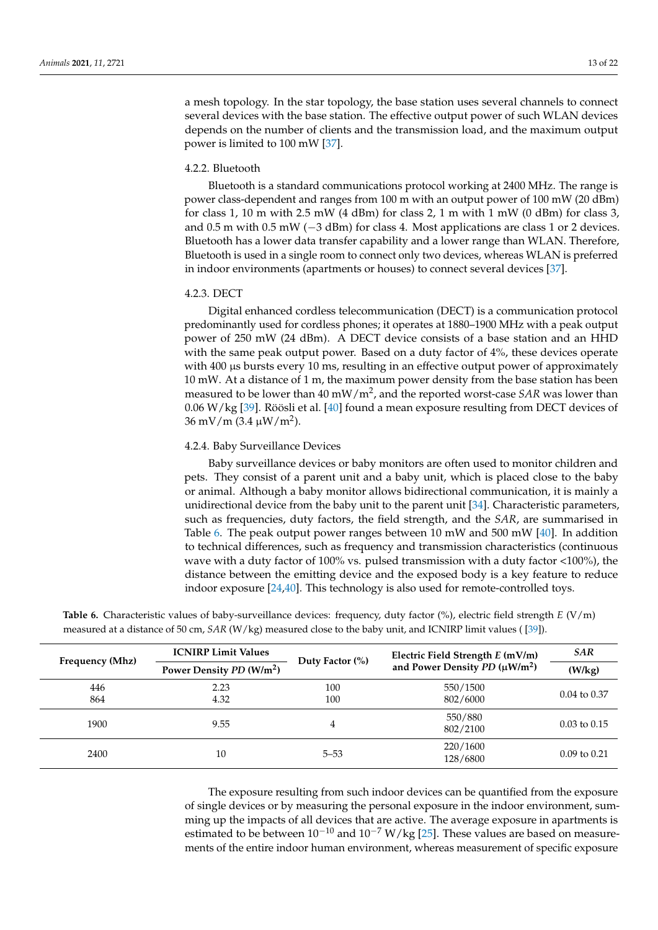a mesh topology. In the star topology, the base station uses several channels to connect several devices with the base station. The effective output power of such WLAN devices depends on the number of clients and the transmission load, and the maximum output power is limited to 100 mW [\[37\]](#page-20-13).

#### 4.2.2. Bluetooth

Bluetooth is a standard communications protocol working at 2400 MHz. The range is power class-dependent and ranges from 100 m with an output power of 100 mW (20 dBm) for class 1, 10 m with 2.5 mW (4 dBm) for class 2, 1 m with 1 mW (0 dBm) for class 3, and 0.5 m with 0.5 mW (−3 dBm) for class 4. Most applications are class 1 or 2 devices. Bluetooth has a lower data transfer capability and a lower range than WLAN. Therefore, Bluetooth is used in a single room to connect only two devices, whereas WLAN is preferred in indoor environments (apartments or houses) to connect several devices [\[37\]](#page-20-13).

#### 4.2.3. DECT

Digital enhanced cordless telecommunication (DECT) is a communication protocol predominantly used for cordless phones; it operates at 1880–1900 MHz with a peak output power of 250 mW (24 dBm). A DECT device consists of a base station and an HHD with the same peak output power. Based on a duty factor of 4%, these devices operate with 400  $\mu$ s bursts every 10 ms, resulting in an effective output power of approximately 10 mW. At a distance of 1 m, the maximum power density from the base station has been measured to be lower than 40 mW/m<sup>2</sup> , and the reported worst-case *SAR* was lower than 0.06 W/kg [\[39\]](#page-20-15). Röösli et al. [\[40\]](#page-20-16) found a mean exposure resulting from DECT devices of  $36 \text{ mV/m}$  (3.4 µW/m<sup>2</sup>).

## 4.2.4. Baby Surveillance Devices

Baby surveillance devices or baby monitors are often used to monitor children and pets. They consist of a parent unit and a baby unit, which is placed close to the baby or animal. Although a baby monitor allows bidirectional communication, it is mainly a unidirectional device from the baby unit to the parent unit [\[34\]](#page-20-10). Characteristic parameters, such as frequencies, duty factors, the field strength, and the *SAR*, are summarised in Table [6.](#page-12-0) The peak output power ranges between 10 mW and 500 mW [\[40\]](#page-20-16). In addition to technical differences, such as frequency and transmission characteristics (continuous wave with a duty factor of 100% vs. pulsed transmission with a duty factor <100%), the distance between the emitting device and the exposed body is a key feature to reduce indoor exposure [\[24,](#page-20-0)[40\]](#page-20-16). This technology is also used for remote-controlled toys.

|                 | <b>ICNIRP Limit Values</b>           | Duty Factor $(\%)$ | Electric Field Strength $E$ (mV/m) | <b>SAR</b>              |
|-----------------|--------------------------------------|--------------------|------------------------------------|-------------------------|
| Frequency (Mhz) | Power Density PD (W/m <sup>2</sup> ) |                    | and Power Density PD $(\mu W/m^2)$ | (W/kg)                  |
| 446             | 2.23                                 | 100                | 550/1500                           |                         |
| 864             | 4.32                                 | 100                | 802/6000                           | $0.04$ to $0.37$        |
| 1900            | 9.55                                 | 4                  | 550/880<br>802/2100                | $0.03 \text{ to } 0.15$ |
|                 |                                      |                    |                                    |                         |
| 2400            | 10                                   | $5 - 53$           | 220/1600<br>128/6800               | $0.09$ to $0.21$        |

<span id="page-12-0"></span>**Table 6.** Characteristic values of baby-surveillance devices: frequency, duty factor (%), electric field strength *E* (V/m) measured at a distance of 50 cm, *SAR* (W/kg) measured close to the baby unit, and ICNIRP limit values ( [\[39\]](#page-20-15)).

> The exposure resulting from such indoor devices can be quantified from the exposure of single devices or by measuring the personal exposure in the indoor environment, summing up the impacts of all devices that are active. The average exposure in apartments is estimated to be between  $10^{-10}$  and  $10^{-7}$  W/kg [\[25\]](#page-20-1). These values are based on measurements of the entire indoor human environment, whereas measurement of specific exposure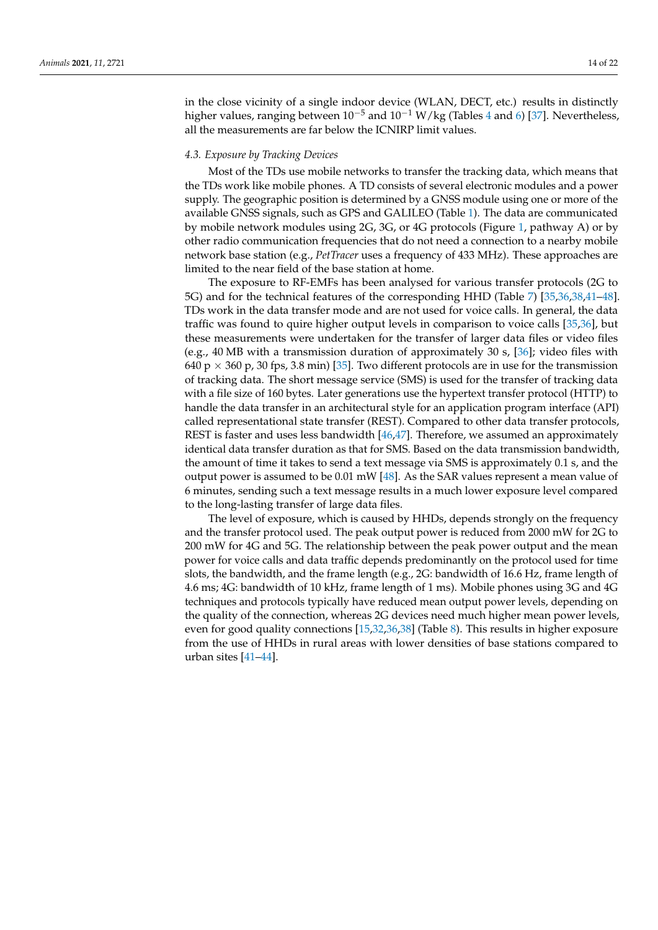in the close vicinity of a single indoor device (WLAN, DECT, etc.) results in distinctly higher values, ranging between  $10^{-5}$  and  $10^{-1}$  W/kg (Tables [4](#page-11-0) and [6\)](#page-12-0) [\[37\]](#page-20-13). Nevertheless, all the measurements are far below the ICNIRP limit values.

#### *4.3. Exposure by Tracking Devices*

Most of the TDs use mobile networks to transfer the tracking data, which means that the TDs work like mobile phones. A TD consists of several electronic modules and a power supply. The geographic position is determined by a GNSS module using one or more of the available GNSS signals, such as GPS and GALILEO (Table [1\)](#page-4-0). The data are communicated by mobile network modules using 2G, 3G, or 4G protocols (Figure [1,](#page-2-0) pathway A) or by other radio communication frequencies that do not need a connection to a nearby mobile network base station (e.g., *PetTracer* uses a frequency of 433 MHz). These approaches are limited to the near field of the base station at home.

The exposure to RF-EMFs has been analysed for various transfer protocols (2G to 5G) and for the technical features of the corresponding HHD (Table [7\)](#page-14-0) [\[35,](#page-20-11)[36,](#page-20-12)[38,](#page-20-14)[41](#page-20-17)[–48\]](#page-20-18). TDs work in the data transfer mode and are not used for voice calls. In general, the data traffic was found to quire higher output levels in comparison to voice calls [\[35,](#page-20-11)[36\]](#page-20-12), but these measurements were undertaken for the transfer of larger data files or video files (e.g., 40 MB with a transmission duration of approximately 30 s, [\[36\]](#page-20-12); video files with 640 p  $\times$  360 p, 30 fps, 3.8 min) [\[35\]](#page-20-11). Two different protocols are in use for the transmission of tracking data. The short message service (SMS) is used for the transfer of tracking data with a file size of 160 bytes. Later generations use the hypertext transfer protocol (HTTP) to handle the data transfer in an architectural style for an application program interface (API) called representational state transfer (REST). Compared to other data transfer protocols, REST is faster and uses less bandwidth [\[46,](#page-20-19)[47\]](#page-20-20). Therefore, we assumed an approximately identical data transfer duration as that for SMS. Based on the data transmission bandwidth, the amount of time it takes to send a text message via SMS is approximately 0.1 s, and the output power is assumed to be 0.01 mW [\[48\]](#page-20-18). As the SAR values represent a mean value of 6 minutes, sending such a text message results in a much lower exposure level compared to the long-lasting transfer of large data files.

The level of exposure, which is caused by HHDs, depends strongly on the frequency and the transfer protocol used. The peak output power is reduced from 2000 mW for 2G to 200 mW for 4G and 5G. The relationship between the peak power output and the mean power for voice calls and data traffic depends predominantly on the protocol used for time slots, the bandwidth, and the frame length (e.g., 2G: bandwidth of 16.6 Hz, frame length of 4.6 ms; 4G: bandwidth of 10 kHz, frame length of 1 ms). Mobile phones using 3G and 4G techniques and protocols typically have reduced mean output power levels, depending on the quality of the connection, whereas 2G devices need much higher mean power levels, even for good quality connections [\[15](#page-19-14)[,32](#page-20-8)[,36,](#page-20-12)[38\]](#page-20-14) (Table [8\)](#page-15-0). This results in higher exposure from the use of HHDs in rural areas with lower densities of base stations compared to urban sites [\[41](#page-20-17)[–44\]](#page-20-21).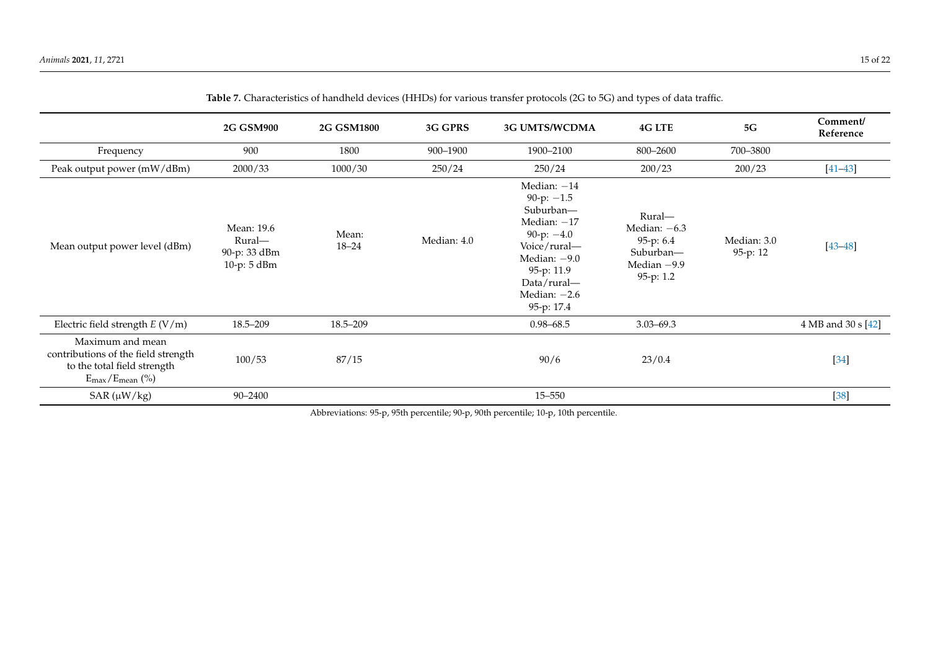<span id="page-14-0"></span>

|                                                                                                                                | <b>2G GSM900</b>                                    | <b>2G GSM1800</b>  | 3G GPRS     | <b>3G UMTS/WCDMA</b>                                                                                                                                                       | <b>4G LTE</b>                                                                      | $5\mathrm{G}$           | Comment/<br>Reference |
|--------------------------------------------------------------------------------------------------------------------------------|-----------------------------------------------------|--------------------|-------------|----------------------------------------------------------------------------------------------------------------------------------------------------------------------------|------------------------------------------------------------------------------------|-------------------------|-----------------------|
| Frequency                                                                                                                      | 900                                                 | 1800               | 900-1900    | 1900-2100                                                                                                                                                                  | 800-2600                                                                           | 700-3800                |                       |
| Peak output power (mW/dBm)                                                                                                     | 2000/33                                             | 1000/30            | 250/24      | 250/24                                                                                                                                                                     | 200/23                                                                             | 200/23                  | $[41 - 43]$           |
| Mean output power level (dBm)                                                                                                  | Mean: 19.6<br>Rural-<br>90-p: 33 dBm<br>10-p: 5 dBm | Mean:<br>$18 - 24$ | Median: 4.0 | Median: $-14$<br>90-p: $-1.5$<br>Suburban-<br>Median: $-17$<br>90-p: $-4.0$<br>Voice/rural—<br>Median: $-9.0$<br>95-p: 11.9<br>Data/rural-<br>Median: $-2.6$<br>95-p: 17.4 | Rural-<br>Median: $-6.3$<br>95-p: $6.4$<br>Suburban-<br>Median $-9.9$<br>95-p: 1.2 | Median: 3.0<br>95-p: 12 | $[43 - 48]$           |
| Electric field strength $E (V/m)$                                                                                              | 18.5–209                                            | 18.5-209           |             | $0.98 - 68.5$                                                                                                                                                              | $3.03 - 69.3$                                                                      |                         | 4 MB and 30 s [42]    |
| Maximum and mean<br>contributions of the field strength<br>to the total field strength<br>$E_{\text{max}}/E_{\text{mean}}$ (%) | 100/53                                              | 87/15              |             | 90/6                                                                                                                                                                       | 23/0.4                                                                             |                         | $[34]$                |
| $SAR(\mu W/kg)$                                                                                                                | 90-2400                                             |                    |             | $15 - 550$                                                                                                                                                                 |                                                                                    |                         | $[38]$                |

**Table 7.** Characteristics of handheld devices (HHDs) for various transfer protocols (2G to 5G) and types of data traffic.

Abbreviations: 95-p, 95th percentile; 90-p, 90th percentile; 10-p, 10th percentile.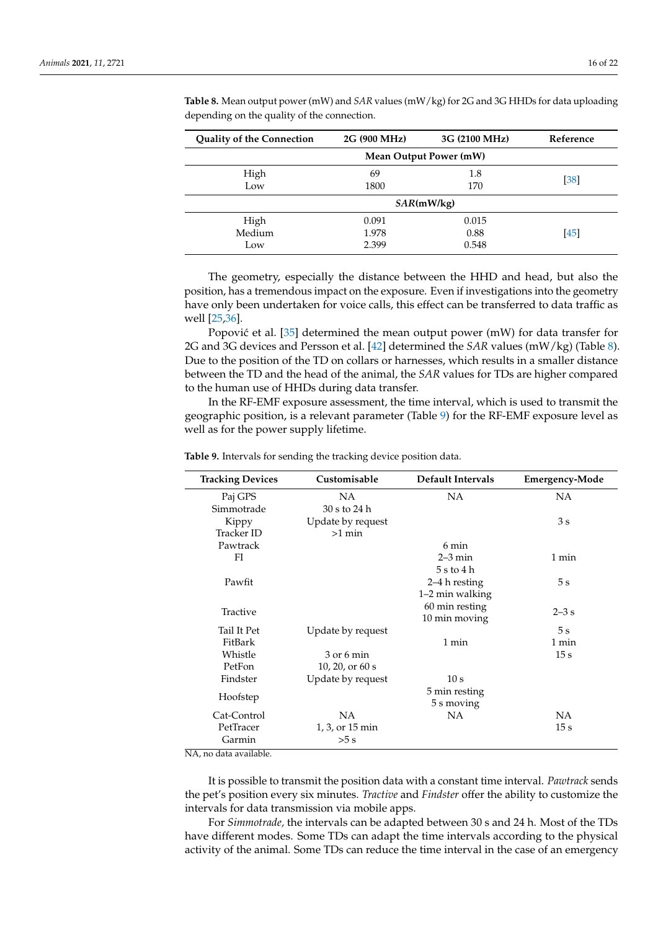| <b>Quality of the Connection</b> | 2G (900 MHz) | 3G (2100 MHz)          | Reference |
|----------------------------------|--------------|------------------------|-----------|
|                                  |              | Mean Output Power (mW) |           |
| High                             | 69           | 1.8                    |           |
| Low                              | 1800         | 170                    | $[38]$    |
|                                  |              | SAR(mW/kg)             |           |
| High                             | 0.091        | 0.015                  |           |
| Medium                           | 1.978        | 0.88                   | [45]      |
| Low                              | 2.399        | 0.548                  |           |

<span id="page-15-0"></span>**Table 8.** Mean output power (mW) and *SAR* values (mW/kg) for 2G and 3G HHDs for data uploading depending on the quality of the connection.

The geometry, especially the distance between the HHD and head, but also the position, has a tremendous impact on the exposure. Even if investigations into the geometry have only been undertaken for voice calls, this effect can be transferred to data traffic as well [\[25](#page-20-1)[,36\]](#page-20-12).

Popović et al. [\[35\]](#page-20-11) determined the mean output power (mW) for data transfer for 2G and 3G devices and Persson et al. [\[42\]](#page-20-29) determined the *SAR* values (mW/kg) (Table [8\)](#page-15-0). Due to the position of the TD on collars or harnesses, which results in a smaller distance between the TD and the head of the animal, the *SAR* values for TDs are higher compared to the human use of HHDs during data transfer.

In the RF-EMF exposure assessment, the time interval, which is used to transmit the geographic position, is a relevant parameter (Table [9\)](#page-15-1) for the RF-EMF exposure level as well as for the power supply lifetime.

| <b>Tracking Devices</b>                          | Customisable      | Default Intervals | <b>Emergency-Mode</b> |
|--------------------------------------------------|-------------------|-------------------|-----------------------|
| Paj GPS                                          | <b>NA</b>         | <b>NA</b>         | NA                    |
| Simmotrade                                       | 30 s to 24 h      |                   |                       |
| Kippy                                            | Update by request |                   | 3s                    |
| Tracker ID                                       | $>1$ min          |                   |                       |
| Pawtrack                                         |                   | 6 min             |                       |
| FI                                               |                   | $2-3$ min         | 1 min                 |
|                                                  |                   | 5 s to 4 h        |                       |
| Pawfit                                           |                   | 2–4 h resting     | 5s                    |
|                                                  |                   | 1–2 min walking   |                       |
| Tractive                                         |                   | 60 min resting    | $2-3$ s               |
|                                                  |                   | 10 min moving     |                       |
| Tail It Pet                                      | Update by request |                   | $5\mathrm{\ s}$       |
| FitBark                                          |                   | 1 min             | 1 min                 |
| Whistle                                          | $3$ or 6 min      |                   | 15s                   |
| PetFon                                           | 10, 20, or $60 s$ |                   |                       |
| Findster                                         | Update by request | 10 s              |                       |
| Hoofstep                                         |                   | 5 min resting     |                       |
|                                                  |                   | 5 s moving        |                       |
| Cat-Control                                      | NA                | <b>NA</b>         | NA                    |
| PetTracer                                        | 1, 3, or 15 min   |                   | 15s                   |
| Garmin<br><b>NTA</b><br>$+1$ 1 1<br>$\mathbf{1}$ | >5 s              |                   |                       |

<span id="page-15-1"></span>**Table 9.** Intervals for sending the tracking device position data.

NA, no data available.

It is possible to transmit the position data with a constant time interval. *Pawtrack* sends the pet's position every six minutes. *Tractive* and *Findster* offer the ability to customize the intervals for data transmission via mobile apps.

For *Simmotrade,* the intervals can be adapted between 30 s and 24 h. Most of the TDs have different modes. Some TDs can adapt the time intervals according to the physical activity of the animal. Some TDs can reduce the time interval in the case of an emergency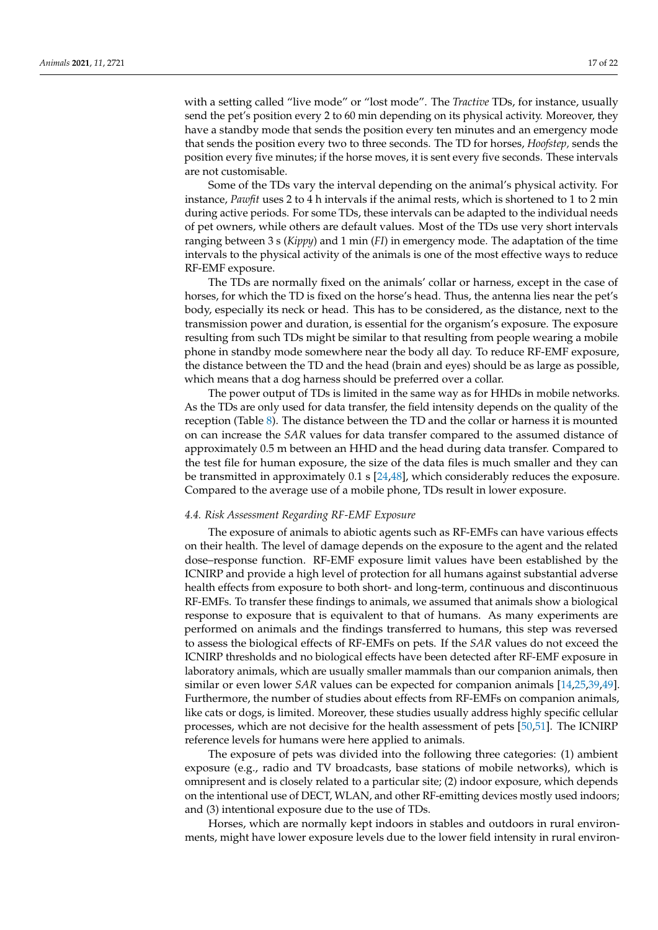with a setting called "live mode" or "lost mode". The *Tractive* TDs, for instance, usually send the pet's position every 2 to 60 min depending on its physical activity. Moreover, they have a standby mode that sends the position every ten minutes and an emergency mode that sends the position every two to three seconds. The TD for horses, *Hoofstep,* sends the position every five minutes; if the horse moves, it is sent every five seconds. These intervals are not customisable.

Some of the TDs vary the interval depending on the animal's physical activity. For instance, *Pawfit* uses 2 to 4 h intervals if the animal rests, which is shortened to 1 to 2 min during active periods. For some TDs, these intervals can be adapted to the individual needs of pet owners, while others are default values. Most of the TDs use very short intervals ranging between 3 s (*Kippy*) and 1 min (*FI*) in emergency mode. The adaptation of the time intervals to the physical activity of the animals is one of the most effective ways to reduce RF-EMF exposure.

The TDs are normally fixed on the animals' collar or harness, except in the case of horses, for which the TD is fixed on the horse's head. Thus, the antenna lies near the pet's body, especially its neck or head. This has to be considered, as the distance, next to the transmission power and duration, is essential for the organism's exposure. The exposure resulting from such TDs might be similar to that resulting from people wearing a mobile phone in standby mode somewhere near the body all day. To reduce RF-EMF exposure, the distance between the TD and the head (brain and eyes) should be as large as possible, which means that a dog harness should be preferred over a collar.

The power output of TDs is limited in the same way as for HHDs in mobile networks. As the TDs are only used for data transfer, the field intensity depends on the quality of the reception (Table [8\)](#page-15-0). The distance between the TD and the collar or harness it is mounted on can increase the *SAR* values for data transfer compared to the assumed distance of approximately 0.5 m between an HHD and the head during data transfer. Compared to the test file for human exposure, the size of the data files is much smaller and they can be transmitted in approximately  $0.1$  s  $[24,48]$  $[24,48]$ , which considerably reduces the exposure. Compared to the average use of a mobile phone, TDs result in lower exposure.

## *4.4. Risk Assessment Regarding RF-EMF Exposure*

The exposure of animals to abiotic agents such as RF-EMFs can have various effects on their health. The level of damage depends on the exposure to the agent and the related dose–response function. RF-EMF exposure limit values have been established by the ICNIRP and provide a high level of protection for all humans against substantial adverse health effects from exposure to both short- and long-term, continuous and discontinuous RF-EMFs. To transfer these findings to animals, we assumed that animals show a biological response to exposure that is equivalent to that of humans. As many experiments are performed on animals and the findings transferred to humans, this step was reversed to assess the biological effects of RF-EMFs on pets. If the *SAR* values do not exceed the ICNIRP thresholds and no biological effects have been detected after RF-EMF exposure in laboratory animals, which are usually smaller mammals than our companion animals, then similar or even lower *SAR* values can be expected for companion animals [\[14,](#page-19-13)[25,](#page-20-1)[39,](#page-20-15)[49\]](#page-20-30). Furthermore, the number of studies about effects from RF-EMFs on companion animals, like cats or dogs, is limited. Moreover, these studies usually address highly specific cellular processes, which are not decisive for the health assessment of pets [\[50,](#page-20-31)[51\]](#page-21-0). The ICNIRP reference levels for humans were here applied to animals.

The exposure of pets was divided into the following three categories: (1) ambient exposure (e.g., radio and TV broadcasts, base stations of mobile networks), which is omnipresent and is closely related to a particular site; (2) indoor exposure, which depends on the intentional use of DECT, WLAN, and other RF-emitting devices mostly used indoors; and (3) intentional exposure due to the use of TDs.

Horses, which are normally kept indoors in stables and outdoors in rural environments, might have lower exposure levels due to the lower field intensity in rural environ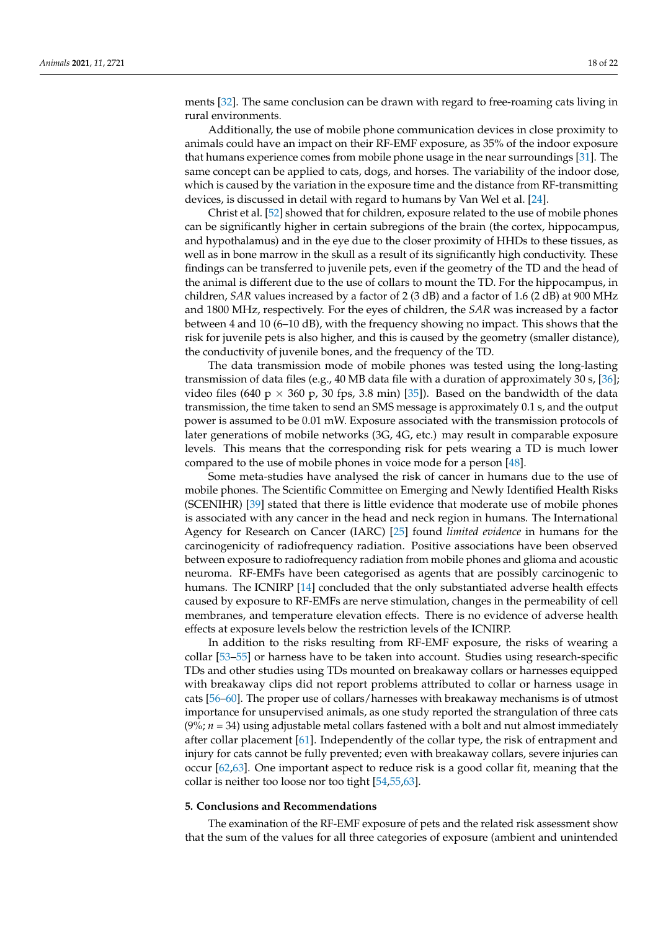ments [\[32\]](#page-20-8). The same conclusion can be drawn with regard to free-roaming cats living in rural environments.

Additionally, the use of mobile phone communication devices in close proximity to animals could have an impact on their RF-EMF exposure, as 35% of the indoor exposure that humans experience comes from mobile phone usage in the near surroundings [\[31\]](#page-20-7). The same concept can be applied to cats, dogs, and horses. The variability of the indoor dose, which is caused by the variation in the exposure time and the distance from RF-transmitting devices, is discussed in detail with regard to humans by Van Wel et al. [\[24\]](#page-20-0).

Christ et al. [\[52\]](#page-21-1) showed that for children, exposure related to the use of mobile phones can be significantly higher in certain subregions of the brain (the cortex, hippocampus, and hypothalamus) and in the eye due to the closer proximity of HHDs to these tissues, as well as in bone marrow in the skull as a result of its significantly high conductivity. These findings can be transferred to juvenile pets, even if the geometry of the TD and the head of the animal is different due to the use of collars to mount the TD. For the hippocampus, in children, *SAR* values increased by a factor of 2 (3 dB) and a factor of 1.6 (2 dB) at 900 MHz and 1800 MHz, respectively. For the eyes of children, the *SAR* was increased by a factor between 4 and 10 (6–10 dB), with the frequency showing no impact. This shows that the risk for juvenile pets is also higher, and this is caused by the geometry (smaller distance), the conductivity of juvenile bones, and the frequency of the TD.

The data transmission mode of mobile phones was tested using the long-lasting transmission of data files (e.g., 40 MB data file with a duration of approximately 30 s, [\[36\]](#page-20-12); video files (640 p  $\times$  360 p, 30 fps, 3.8 min) [\[35\]](#page-20-11)). Based on the bandwidth of the data transmission, the time taken to send an SMS message is approximately 0.1 s, and the output power is assumed to be 0.01 mW. Exposure associated with the transmission protocols of later generations of mobile networks (3G, 4G, etc.) may result in comparable exposure levels. This means that the corresponding risk for pets wearing a TD is much lower compared to the use of mobile phones in voice mode for a person [\[48\]](#page-20-18).

Some meta-studies have analysed the risk of cancer in humans due to the use of mobile phones. The Scientific Committee on Emerging and Newly Identified Health Risks (SCENIHR) [\[39\]](#page-20-15) stated that there is little evidence that moderate use of mobile phones is associated with any cancer in the head and neck region in humans. The International Agency for Research on Cancer (IARC) [\[25\]](#page-20-1) found *limited evidence* in humans for the carcinogenicity of radiofrequency radiation. Positive associations have been observed between exposure to radiofrequency radiation from mobile phones and glioma and acoustic neuroma. RF-EMFs have been categorised as agents that are possibly carcinogenic to humans. The ICNIRP [\[14\]](#page-19-13) concluded that the only substantiated adverse health effects caused by exposure to RF-EMFs are nerve stimulation, changes in the permeability of cell membranes, and temperature elevation effects. There is no evidence of adverse health effects at exposure levels below the restriction levels of the ICNIRP.

In addition to the risks resulting from RF-EMF exposure, the risks of wearing a collar [\[53–](#page-21-2)[55\]](#page-21-3) or harness have to be taken into account. Studies using research-specific TDs and other studies using TDs mounted on breakaway collars or harnesses equipped with breakaway clips did not report problems attributed to collar or harness usage in cats [\[56](#page-21-4)[–60\]](#page-21-5). The proper use of collars/harnesses with breakaway mechanisms is of utmost importance for unsupervised animals, as one study reported the strangulation of three cats  $(9\%; n = 34)$  using adjustable metal collars fastened with a bolt and nut almost immediately after collar placement [\[61\]](#page-21-6). Independently of the collar type, the risk of entrapment and injury for cats cannot be fully prevented; even with breakaway collars, severe injuries can occur [\[62,](#page-21-7)[63\]](#page-21-8). One important aspect to reduce risk is a good collar fit, meaning that the collar is neither too loose nor too tight [\[54](#page-21-9)[,55](#page-21-3)[,63\]](#page-21-8).

#### **5. Conclusions and Recommendations**

The examination of the RF-EMF exposure of pets and the related risk assessment show that the sum of the values for all three categories of exposure (ambient and unintended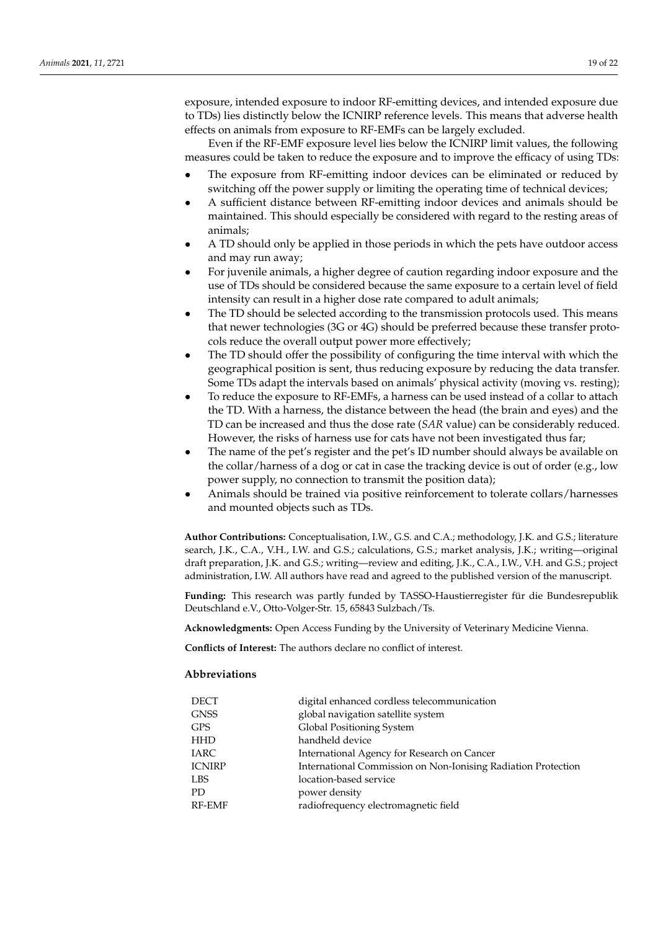exposure, intended exposure to indoor RF-emitting devices, and intended exposure due to TDs) lies distinctly below the ICNIRP reference levels. This means that adverse health effects on animals from exposure to RF-EMFs can be largely excluded.

Even if the RF-EMF exposure level lies below the ICNIRP limit values, the following measures could be taken to reduce the exposure and to improve the efficacy of using TDs:

- The exposure from RF-emitting indoor devices can be eliminated or reduced by switching off the power supply or limiting the operating time of technical devices;
- A sufficient distance between RF-emitting indoor devices and animals should be maintained. This should especially be considered with regard to the resting areas of animals;
- A TD should only be applied in those periods in which the pets have outdoor access and may run away;
- For juvenile animals, a higher degree of caution regarding indoor exposure and the use of TDs should be considered because the same exposure to a certain level of field intensity can result in a higher dose rate compared to adult animals;
- The TD should be selected according to the transmission protocols used. This means that newer technologies (3G or 4G) should be preferred because these transfer protocols reduce the overall output power more effectively;
- The TD should offer the possibility of configuring the time interval with which the geographical position is sent, thus reducing exposure by reducing the data transfer. Some TDs adapt the intervals based on animals' physical activity (moving vs. resting);
- To reduce the exposure to RF-EMFs, a harness can be used instead of a collar to attach the TD. With a harness, the distance between the head (the brain and eyes) and the TD can be increased and thus the dose rate (*SAR* value) can be considerably reduced. However, the risks of harness use for cats have not been investigated thus far;
- The name of the pet's register and the pet's ID number should always be available on the collar/harness of a dog or cat in case the tracking device is out of order (e.g., low power supply, no connection to transmit the position data);
- Animals should be trained via positive reinforcement to tolerate collars/harnesses and mounted objects such as TDs.

**Author Contributions:** Conceptualisation, I.W., G.S. and C.A.; methodology, J.K. and G.S.; literature search, J.K., C.A., V.H., I.W. and G.S.; calculations, G.S.; market analysis, J.K.; writing—original draft preparation, J.K. and G.S.; writing—review and editing, J.K., C.A., I.W., V.H. and G.S.; project administration, I.W. All authors have read and agreed to the published version of the manuscript.

**Funding:** This research was partly funded by TASSO-Haustierregister für die Bundesrepublik Deutschland e.V., Otto-Volger-Str. 15, 65843 Sulzbach/Ts.

**Acknowledgments:** Open Access Funding by the University of Veterinary Medicine Vienna.

**Conflicts of Interest:** The authors declare no conflict of interest.

### **Abbreviations**

| DECT          | digital enhanced cordless telecommunication                   |
|---------------|---------------------------------------------------------------|
| <b>GNSS</b>   | global navigation satellite system                            |
| <b>GPS</b>    | Global Positioning System                                     |
| <b>HHD</b>    | handheld device                                               |
| <b>IARC</b>   | International Agency for Research on Cancer                   |
| <b>ICNIRP</b> | International Commission on Non-Ionising Radiation Protection |
| <b>LBS</b>    | location-based service                                        |
| PD.           | power density                                                 |
| <b>RF-EMF</b> | radiofrequency electromagnetic field                          |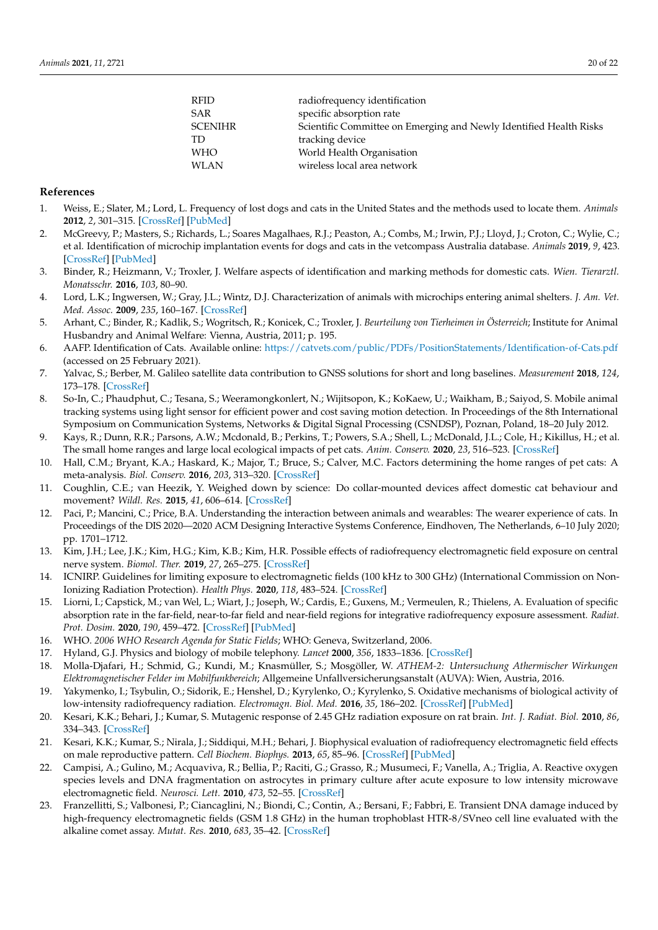| RFID    | radiofrequency identification                                      |
|---------|--------------------------------------------------------------------|
| SAR     | specific absorption rate                                           |
| SCENIHR | Scientific Committee on Emerging and Newly Identified Health Risks |
| TD      | tracking device                                                    |
| WHO     | World Health Organisation                                          |
| WLAN    | wireless local area network                                        |
|         |                                                                    |

## **References**

- <span id="page-19-0"></span>1. Weiss, E.; Slater, M.; Lord, L. Frequency of lost dogs and cats in the United States and the methods used to locate them. *Animals* **2012**, *2*, 301–315. [\[CrossRef\]](http://doi.org/10.3390/ani2020301) [\[PubMed\]](http://www.ncbi.nlm.nih.gov/pubmed/26486923)
- <span id="page-19-1"></span>2. McGreevy, P.; Masters, S.; Richards, L.; Soares Magalhaes, R.J.; Peaston, A.; Combs, M.; Irwin, P.J.; Lloyd, J.; Croton, C.; Wylie, C.; et al. Identification of microchip implantation events for dogs and cats in the vetcompass Australia database. *Animals* **2019**, *9*, 423. [\[CrossRef\]](http://doi.org/10.3390/ani9070423) [\[PubMed\]](http://www.ncbi.nlm.nih.gov/pubmed/31284533)
- <span id="page-19-2"></span>3. Binder, R.; Heizmann, V.; Troxler, J. Welfare aspects of identification and marking methods for domestic cats. *Wien. Tierarztl. Monatsschr.* **2016**, *103*, 80–90.
- <span id="page-19-3"></span>4. Lord, L.K.; Ingwersen, W.; Gray, J.L.; Wintz, D.J. Characterization of animals with microchips entering animal shelters. *J. Am. Vet. Med. Assoc.* **2009**, *235*, 160–167. [\[CrossRef\]](http://doi.org/10.2460/javma.235.2.160)
- <span id="page-19-4"></span>5. Arhant, C.; Binder, R.; Kadlik, S.; Wogritsch, R.; Konicek, C.; Troxler, J. *Beurteilung von Tierheimen in Österreich*; Institute for Animal Husbandry and Animal Welfare: Vienna, Austria, 2011; p. 195.
- <span id="page-19-5"></span>6. AAFP. Identification of Cats. Available online: <https://catvets.com/public/PDFs/PositionStatements/Identification-of-Cats.pdf> (accessed on 25 February 2021).
- <span id="page-19-6"></span>7. Yalvac, S.; Berber, M. Galileo satellite data contribution to GNSS solutions for short and long baselines. *Measurement* **2018**, *124*, 173–178. [\[CrossRef\]](http://doi.org/10.1016/j.measurement.2018.04.020)
- <span id="page-19-7"></span>8. So-In, C.; Phaudphut, C.; Tesana, S.; Weeramongkonlert, N.; Wijitsopon, K.; KoKaew, U.; Waikham, B.; Saiyod, S. Mobile animal tracking systems using light sensor for efficient power and cost saving motion detection. In Proceedings of the 8th International Symposium on Communication Systems, Networks & Digital Signal Processing (CSNDSP), Poznan, Poland, 18–20 July 2012.
- <span id="page-19-8"></span>9. Kays, R.; Dunn, R.R.; Parsons, A.W.; Mcdonald, B.; Perkins, T.; Powers, S.A.; Shell, L.; McDonald, J.L.; Cole, H.; Kikillus, H.; et al. The small home ranges and large local ecological impacts of pet cats. *Anim. Conserv.* **2020**, *23*, 516–523. [\[CrossRef\]](http://doi.org/10.1111/acv.12563)
- <span id="page-19-9"></span>10. Hall, C.M.; Bryant, K.A.; Haskard, K.; Major, T.; Bruce, S.; Calver, M.C. Factors determining the home ranges of pet cats: A meta-analysis. *Biol. Conserv.* **2016**, *203*, 313–320. [\[CrossRef\]](http://doi.org/10.1016/j.biocon.2016.09.029)
- <span id="page-19-10"></span>11. Coughlin, C.E.; van Heezik, Y. Weighed down by science: Do collar-mounted devices affect domestic cat behaviour and movement? *Wildl. Res.* **2015**, *41*, 606–614. [\[CrossRef\]](http://doi.org/10.1071/WR14160)
- <span id="page-19-11"></span>12. Paci, P.; Mancini, C.; Price, B.A. Understanding the interaction between animals and wearables: The wearer experience of cats. In Proceedings of the DIS 2020—2020 ACM Designing Interactive Systems Conference, Eindhoven, The Netherlands, 6–10 July 2020; pp. 1701–1712.
- <span id="page-19-12"></span>13. Kim, J.H.; Lee, J.K.; Kim, H.G.; Kim, K.B.; Kim, H.R. Possible effects of radiofrequency electromagnetic field exposure on central nerve system. *Biomol. Ther.* **2019**, *27*, 265–275. [\[CrossRef\]](http://doi.org/10.4062/biomolther.2018.152)
- <span id="page-19-13"></span>14. ICNIRP. Guidelines for limiting exposure to electromagnetic fields (100 kHz to 300 GHz) (International Commission on Non-Ionizing Radiation Protection). *Health Phys.* **2020**, *118*, 483–524. [\[CrossRef\]](http://doi.org/10.1097/HP.0000000000001210)
- <span id="page-19-14"></span>15. Liorni, I.; Capstick, M.; van Wel, L.; Wiart, J.; Joseph, W.; Cardis, E.; Guxens, M.; Vermeulen, R.; Thielens, A. Evaluation of specific absorption rate in the far-field, near-to-far field and near-field regions for integrative radiofrequency exposure assessment. *Radiat. Prot. Dosim.* **2020**, *190*, 459–472. [\[CrossRef\]](http://doi.org/10.1093/rpd/ncaa127) [\[PubMed\]](http://www.ncbi.nlm.nih.gov/pubmed/32990753)
- <span id="page-19-15"></span>16. WHO. *2006 WHO Research Agenda for Static Fields*; WHO: Geneva, Switzerland, 2006.
- <span id="page-19-16"></span>17. Hyland, G.J. Physics and biology of mobile telephony. *Lancet* **2000**, *356*, 1833–1836. [\[CrossRef\]](http://doi.org/10.1016/S0140-6736(00)03243-8)
- <span id="page-19-17"></span>18. Molla-Djafari, H.; Schmid, G.; Kundi, M.; Knasmüller, S.; Mosgöller, W. *ATHEM-2: Untersuchung Athermischer Wirkungen Elektromagnetischer Felder im Mobilfunkbereich*; Allgemeine Unfallversicherungsanstalt (AUVA): Wien, Austria, 2016.
- <span id="page-19-18"></span>19. Yakymenko, I.; Tsybulin, O.; Sidorik, E.; Henshel, D.; Kyrylenko, O.; Kyrylenko, S. Oxidative mechanisms of biological activity of low-intensity radiofrequency radiation. *Electromagn. Biol. Med.* **2016**, *35*, 186–202. [\[CrossRef\]](http://doi.org/10.3109/15368378.2015.1043557) [\[PubMed\]](http://www.ncbi.nlm.nih.gov/pubmed/26151230)
- 20. Kesari, K.K.; Behari, J.; Kumar, S. Mutagenic response of 2.45 GHz radiation exposure on rat brain. *Int. J. Radiat. Biol.* **2010**, *86*, 334–343. [\[CrossRef\]](http://doi.org/10.3109/09553000903564059)
- 21. Kesari, K.K.; Kumar, S.; Nirala, J.; Siddiqui, M.H.; Behari, J. Biophysical evaluation of radiofrequency electromagnetic field effects on male reproductive pattern. *Cell Biochem. Biophys.* **2013**, *65*, 85–96. [\[CrossRef\]](http://doi.org/10.1007/s12013-012-9414-6) [\[PubMed\]](http://www.ncbi.nlm.nih.gov/pubmed/22926544)
- 22. Campisi, A.; Gulino, M.; Acquaviva, R.; Bellia, P.; Raciti, G.; Grasso, R.; Musumeci, F.; Vanella, A.; Triglia, A. Reactive oxygen species levels and DNA fragmentation on astrocytes in primary culture after acute exposure to low intensity microwave electromagnetic field. *Neurosci. Lett.* **2010**, *473*, 52–55. [\[CrossRef\]](http://doi.org/10.1016/j.neulet.2010.02.018)
- <span id="page-19-19"></span>23. Franzellitti, S.; Valbonesi, P.; Ciancaglini, N.; Biondi, C.; Contin, A.; Bersani, F.; Fabbri, E. Transient DNA damage induced by high-frequency electromagnetic fields (GSM 1.8 GHz) in the human trophoblast HTR-8/SVneo cell line evaluated with the alkaline comet assay. *Mutat. Res.* **2010**, *683*, 35–42. [\[CrossRef\]](http://doi.org/10.1016/j.mrfmmm.2009.10.004)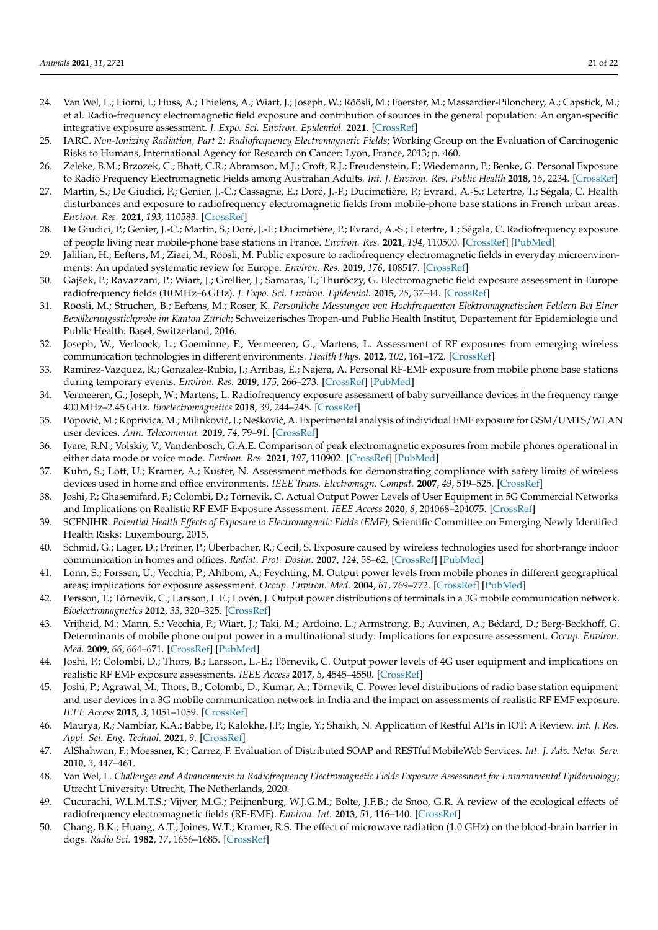- <span id="page-20-26"></span><span id="page-20-0"></span>24. Van Wel, L.; Liorni, I.; Huss, A.; Thielens, A.; Wiart, J.; Joseph, W.; Röösli, M.; Foerster, M.; Massardier-Pilonchery, A.; Capstick, M.; et al. Radio-frequency electromagnetic field exposure and contribution of sources in the general population: An organ-specific integrative exposure assessment. *J. Expo. Sci. Environ. Epidemiol.* **2021**. [\[CrossRef\]](http://doi.org/10.1038/s41370-021-00287-8)
- <span id="page-20-1"></span>25. IARC. *Non-Ionizing Radiation, Part 2: Radiofrequency Electromagnetic Fields*; Working Group on the Evaluation of Carcinogenic Risks to Humans, International Agency for Research on Cancer: Lyon, France, 2013; p. 460.
- <span id="page-20-2"></span>26. Zeleke, B.M.; Brzozek, C.; Bhatt, C.R.; Abramson, M.J.; Croft, R.J.; Freudenstein, F.; Wiedemann, P.; Benke, G. Personal Exposure to Radio Frequency Electromagnetic Fields among Australian Adults. *Int. J. Environ. Res. Public Health* **2018**, *15*, 2234. [\[CrossRef\]](http://doi.org/10.3390/ijerph15102234)
- <span id="page-20-3"></span>27. Martin, S.; De Giudici, P.; Genier, J.-C.; Cassagne, E.; Doré, J.-F.; Ducimetière, P.; Evrard, A.-S.; Letertre, T.; Ségala, C. Health disturbances and exposure to radiofrequency electromagnetic fields from mobile-phone base stations in French urban areas. *Environ. Res.* **2021**, *193*, 110583. [\[CrossRef\]](http://doi.org/10.1016/j.envres.2020.110583)
- <span id="page-20-27"></span><span id="page-20-4"></span>28. De Giudici, P.; Genier, J.-C.; Martin, S.; Doré, J.-F.; Ducimetière, P.; Evrard, A.-S.; Letertre, T.; Ségala, C. Radiofrequency exposure of people living near mobile-phone base stations in France. *Environ. Res.* **2021**, *194*, 110500. [\[CrossRef\]](http://doi.org/10.1016/j.envres.2020.110500) [\[PubMed\]](http://www.ncbi.nlm.nih.gov/pubmed/33221309)
- <span id="page-20-5"></span>29. Jalilian, H.; Eeftens, M.; Ziaei, M.; Röösli, M. Public exposure to radiofrequency electromagnetic fields in everyday microenvironments: An updated systematic review for Europe. *Environ. Res.* **2019**, *176*, 108517. [\[CrossRef\]](http://doi.org/10.1016/j.envres.2019.05.048)
- <span id="page-20-6"></span>30. Gajšek, P.; Ravazzani, P.; Wiart, J.; Grellier, J.; Samaras, T.; Thuróczy, G. Electromagnetic field exposure assessment in Europe radiofrequency fields (10 MHz–6 GHz). *J. Expo. Sci. Environ. Epidemiol.* **2015**, *25*, 37–44. [\[CrossRef\]](http://doi.org/10.1038/jes.2013.40)
- <span id="page-20-25"></span><span id="page-20-22"></span><span id="page-20-7"></span>31. Röösli, M.; Struchen, B.; Eeftens, M.; Roser, K. *Persönliche Messungen von Hochfrequenten Elektromagnetischen Feldern Bei Einer Bevölkerungsstichprobe im Kanton Zürich*; Schweizerisches Tropen-und Public Health Institut, Departement für Epidemiologie und Public Health: Basel, Switzerland, 2016.
- <span id="page-20-23"></span><span id="page-20-8"></span>32. Joseph, W.; Verloock, L.; Goeminne, F.; Vermeeren, G.; Martens, L. Assessment of RF exposures from emerging wireless communication technologies in different environments. *Health Phys.* **2012**, *102*, 161–172. [\[CrossRef\]](http://doi.org/10.1097/HP.0b013e31822f8e39)
- <span id="page-20-9"></span>33. Ramirez-Vazquez, R.; Gonzalez-Rubio, J.; Arribas, E.; Najera, A. Personal RF-EMF exposure from mobile phone base stations during temporary events. *Environ. Res.* **2019**, *175*, 266–273. [\[CrossRef\]](http://doi.org/10.1016/j.envres.2019.05.033) [\[PubMed\]](http://www.ncbi.nlm.nih.gov/pubmed/31146098)
- <span id="page-20-10"></span>34. Vermeeren, G.; Joseph, W.; Martens, L. Radiofrequency exposure assessment of baby surveillance devices in the frequency range 400 MHz–2.45 GHz. *Bioelectromagnetics* **2018**, *39*, 244–248. [\[CrossRef\]](http://doi.org/10.1002/bem.22113)
- <span id="page-20-11"></span>35. Popović, M.; Koprivica, M.; Milinković, J.; Nešković, A. Experimental analysis of individual EMF exposure for GSM/UMTS/WLAN user devices. *Ann. Telecommun.* **2019**, *74*, 79–91. [\[CrossRef\]](http://doi.org/10.1007/s12243-018-0679-7)
- <span id="page-20-12"></span>36. Iyare, R.N.; Volskiy, V.; Vandenbosch, G.A.E. Comparison of peak electromagnetic exposures from mobile phones operational in either data mode or voice mode. *Environ. Res.* **2021**, *197*, 110902. [\[CrossRef\]](http://doi.org/10.1016/j.envres.2021.110902) [\[PubMed\]](http://www.ncbi.nlm.nih.gov/pubmed/33737079)
- <span id="page-20-13"></span>37. Kuhn, S.; Lott, U.; Kramer, A.; Kuster, N. Assessment methods for demonstrating compliance with safety limits of wireless devices used in home and office environments. *IEEE Trans. Electromagn. Compat.* **2007**, *49*, 519–525. [\[CrossRef\]](http://doi.org/10.1109/TEMC.2007.903042)
- <span id="page-20-24"></span><span id="page-20-14"></span>38. Joshi, P.; Ghasemifard, F.; Colombi, D.; Törnevik, C. Actual Output Power Levels of User Equipment in 5G Commercial Networks and Implications on Realistic RF EMF Exposure Assessment. *IEEE Access* **2020**, *8*, 204068–204075. [\[CrossRef\]](http://doi.org/10.1109/ACCESS.2020.3036977)
- <span id="page-20-15"></span>39. SCENIHR. *Potential Health Effects of Exposure to Electromagnetic Fields (EMF)*; Scientific Committee on Emerging Newly Identified Health Risks: Luxembourg, 2015.
- <span id="page-20-16"></span>40. Schmid, G.; Lager, D.; Preiner, P.; Überbacher, R.; Cecil, S. Exposure caused by wireless technologies used for short-range indoor communication in homes and offices. *Radiat. Prot. Dosim.* **2007**, *124*, 58–62. [\[CrossRef\]](http://doi.org/10.1093/rpd/ncm245) [\[PubMed\]](http://www.ncbi.nlm.nih.gov/pubmed/17566000)
- <span id="page-20-17"></span>41. Lönn, S.; Forssen, U.; Vecchia, P.; Ahlbom, A.; Feychting, M. Output power levels from mobile phones in different geographical areas; implications for exposure assessment. *Occup. Environ. Med.* **2004**, *61*, 769–772. [\[CrossRef\]](http://doi.org/10.1136/oem.2003.012567) [\[PubMed\]](http://www.ncbi.nlm.nih.gov/pubmed/15317918)
- <span id="page-20-29"></span>42. Persson, T.; Törnevik, C.; Larsson, L.E.; Lovén, J. Output power distributions of terminals in a 3G mobile communication network. *Bioelectromagnetics* **2012**, *33*, 320–325. [\[CrossRef\]](http://doi.org/10.1002/bem.20710)
- 43. Vrijheid, M.; Mann, S.; Vecchia, P.; Wiart, J.; Taki, M.; Ardoino, L.; Armstrong, B.; Auvinen, A.; Bédard, D.; Berg-Beckhoff, G. Determinants of mobile phone output power in a multinational study: Implications for exposure assessment. *Occup. Environ. Med.* **2009**, *66*, 664–671. [\[CrossRef\]](http://doi.org/10.1136/oem.2008.043380) [\[PubMed\]](http://www.ncbi.nlm.nih.gov/pubmed/19465409)
- <span id="page-20-21"></span>44. Joshi, P.; Colombi, D.; Thors, B.; Larsson, L.-E.; Törnevik, C. Output power levels of 4G user equipment and implications on realistic RF EMF exposure assessments. *IEEE Access* **2017**, *5*, 4545–4550. [\[CrossRef\]](http://doi.org/10.1109/ACCESS.2017.2682422)
- <span id="page-20-28"></span>45. Joshi, P.; Agrawal, M.; Thors, B.; Colombi, D.; Kumar, A.; Törnevik, C. Power level distributions of radio base station equipment and user devices in a 3G mobile communication network in India and the impact on assessments of realistic RF EMF exposure. *IEEE Access* **2015**, *3*, 1051–1059. [\[CrossRef\]](http://doi.org/10.1109/ACCESS.2015.2453056)
- <span id="page-20-19"></span>46. Maurya, R.; Nambiar, K.A.; Babbe, P.; Kalokhe, J.P.; Ingle, Y.; Shaikh, N. Application of Restful APIs in IOT: A Review. *Int. J. Res. Appl. Sci. Eng. Technol.* **2021**, *9*. [\[CrossRef\]](http://doi.org/10.22214/ijraset.2021.33013)
- <span id="page-20-20"></span>47. AlShahwan, F.; Moessner, K.; Carrez, F. Evaluation of Distributed SOAP and RESTful MobileWeb Services. *Int. J. Adv. Netw. Serv.* **2010**, *3*, 447–461.
- <span id="page-20-18"></span>48. Van Wel, L. *Challenges and Advancements in Radiofrequency Electromagnetic Fields Exposure Assessment for Environmental Epidemiology*; Utrecht University: Utrecht, The Netherlands, 2020.
- <span id="page-20-30"></span>49. Cucurachi, W.L.M.T.S.; Vijver, M.G.; Peijnenburg, W.J.G.M.; Bolte, J.F.B.; de Snoo, G.R. A review of the ecological effects of radiofrequency electromagnetic fields (RF-EMF). *Environ. Int.* **2013**, *51*, 116–140. [\[CrossRef\]](http://doi.org/10.1016/j.envint.2012.10.009)
- <span id="page-20-31"></span>50. Chang, B.K.; Huang, A.T.; Joines, W.T.; Kramer, R.S. The effect of microwave radiation (1.0 GHz) on the blood-brain barrier in dogs. *Radio Sci.* **1982**, *17*, 1656–1685. [\[CrossRef\]](http://doi.org/10.1029/RS017i05Sp0165S)